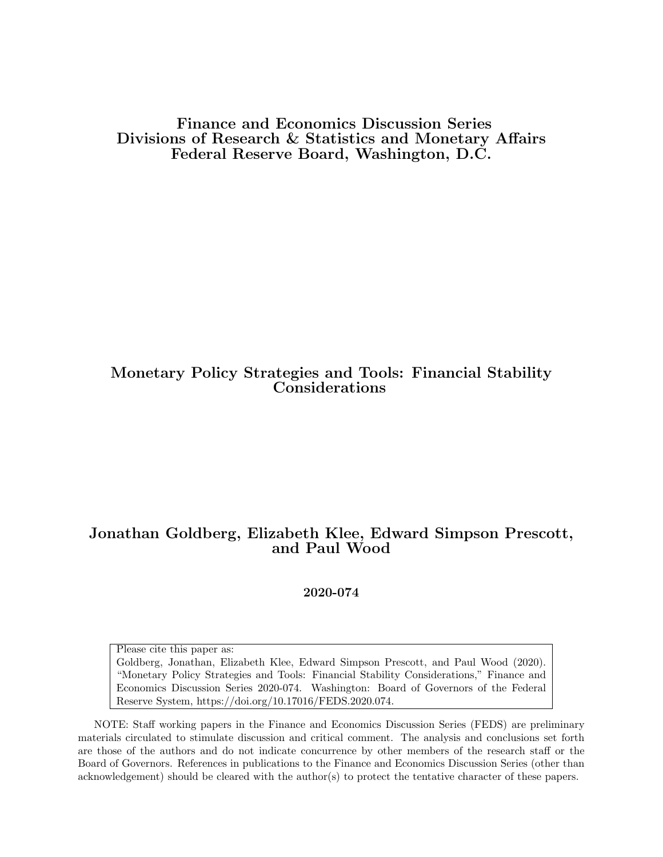Finance and Economics Discussion Series Divisions of Research & Statistics and Monetary Affairs Federal Reserve Board, Washington, D.C.

# Monetary Policy Strategies and Tools: Financial Stability Considerations

# Jonathan Goldberg, Elizabeth Klee, Edward Simpson Prescott, and Paul Wood

2020-074

Please cite this paper as:

Goldberg, Jonathan, Elizabeth Klee, Edward Simpson Prescott, and Paul Wood (2020). "Monetary Policy Strategies and Tools: Financial Stability Considerations," Finance and Economics Discussion Series 2020-074. Washington: Board of Governors of the Federal Reserve System, https://doi.org/10.17016/FEDS.2020.074.

NOTE: Staff working papers in the Finance and Economics Discussion Series (FEDS) are preliminary materials circulated to stimulate discussion and critical comment. The analysis and conclusions set forth are those of the authors and do not indicate concurrence by other members of the research staff or the Board of Governors. References in publications to the Finance and Economics Discussion Series (other than acknowledgement) should be cleared with the author(s) to protect the tentative character of these papers.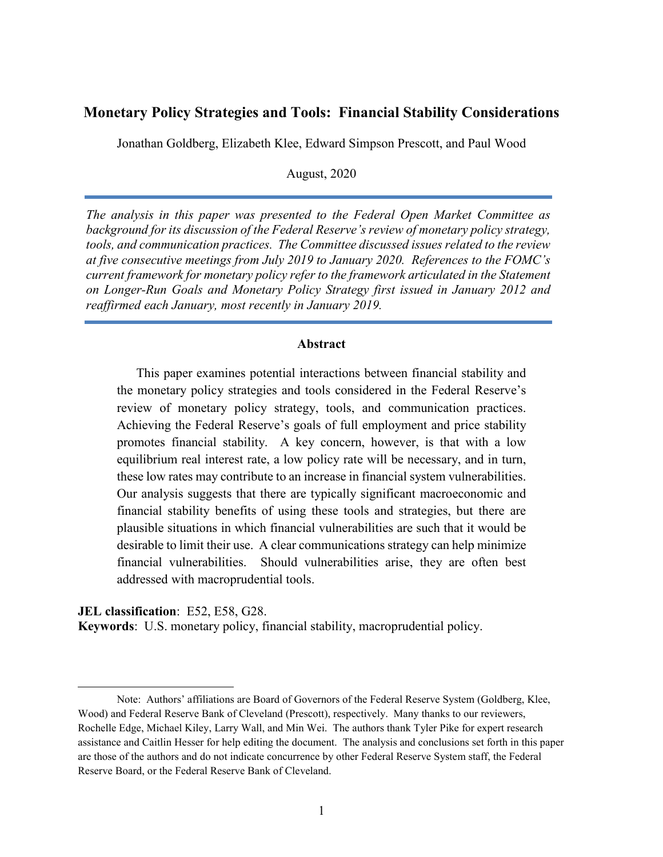# **Monetary Policy Strategies and Tools: Financial Stability Considerations**

Jonathan Goldberg, Elizabeth Klee, Edward Simpson Prescott, and Paul Wood

August, 2020

*The analysis in this paper was presented to the Federal Open Market Committee as background for its discussion of the Federal Reserve's review of monetary policy strategy, tools, and communication practices. The Committee discussed issues related to the review at five consecutive meetings from July 2019 to January 2020. References to the FOMC's current framework for monetary policy refer to the framework articulated in the Statement on Longer-Run Goals and Monetary Policy Strategy first issued in January 2012 and reaffirmed each January, most recently in January 2019.*

#### **Abstract**

This paper examines potential interactions between financial stability and the monetary policy strategies and tools considered in the Federal Reserve's review of monetary policy strategy, tools, and communication practices. Achieving the Federal Reserve's goals of full employment and price stability promotes financial stability. A key concern, however, is that with a low equilibrium real interest rate, a low policy rate will be necessary, and in turn, these low rates may contribute to an increase in financial system vulnerabilities. Our analysis suggests that there are typically significant macroeconomic and financial stability benefits of using these tools and strategies, but there are plausible situations in which financial vulnerabilities are such that it would be desirable to limit their use. A clear communications strategy can help minimize financial vulnerabilities. Should vulnerabilities arise, they are often best addressed with macroprudential tools.

**JEL classification**: E52, E58, G28.

**Keywords**: U.S. monetary policy, financial stability, macroprudential policy.

Note: Authors' affiliations are Board of Governors of the Federal Reserve System (Goldberg, Klee, Wood) and Federal Reserve Bank of Cleveland (Prescott), respectively. Many thanks to our reviewers, Rochelle Edge, Michael Kiley, Larry Wall, and Min Wei. The authors thank Tyler Pike for expert research assistance and Caitlin Hesser for help editing the document. The analysis and conclusions set forth in this paper are those of the authors and do not indicate concurrence by other Federal Reserve System staff, the Federal Reserve Board, or the Federal Reserve Bank of Cleveland.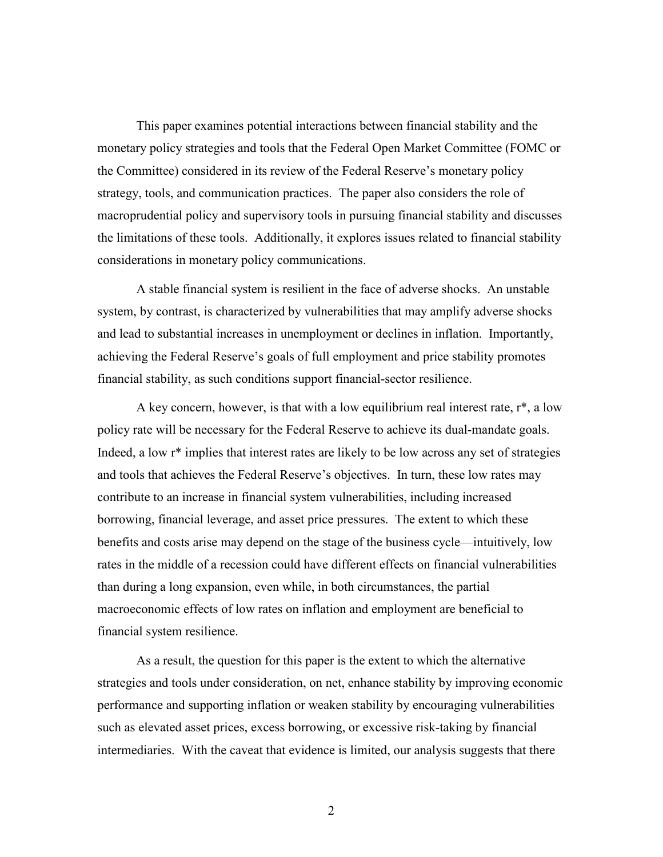This paper examines potential interactions between financial stability and the monetary policy strategies and tools that the Federal Open Market Committee (FOMC or the Committee) considered in its review of the Federal Reserve's monetary policy strategy, tools, and communication practices. The paper also considers the role of macroprudential policy and supervisory tools in pursuing financial stability and discusses the limitations of these tools. Additionally, it explores issues related to financial stability considerations in monetary policy communications.

A stable financial system is resilient in the face of adverse shocks. An unstable system, by contrast, is characterized by vulnerabilities that may amplify adverse shocks and lead to substantial increases in unemployment or declines in inflation. Importantly, achieving the Federal Reserve's goals of full employment and price stability promotes financial stability, as such conditions support financial-sector resilience.

A key concern, however, is that with a low equilibrium real interest rate, r\*, a low policy rate will be necessary for the Federal Reserve to achieve its dual-mandate goals. Indeed, a low r\* implies that interest rates are likely to be low across any set of strategies and tools that achieves the Federal Reserve's objectives. In turn, these low rates may contribute to an increase in financial system vulnerabilities, including increased borrowing, financial leverage, and asset price pressures. The extent to which these benefits and costs arise may depend on the stage of the business cycle—intuitively, low rates in the middle of a recession could have different effects on financial vulnerabilities than during a long expansion, even while, in both circumstances, the partial macroeconomic effects of low rates on inflation and employment are beneficial to financial system resilience.

As a result, the question for this paper is the extent to which the alternative strategies and tools under consideration, on net, enhance stability by improving economic performance and supporting inflation or weaken stability by encouraging vulnerabilities such as elevated asset prices, excess borrowing, or excessive risk-taking by financial intermediaries. With the caveat that evidence is limited, our analysis suggests that there

2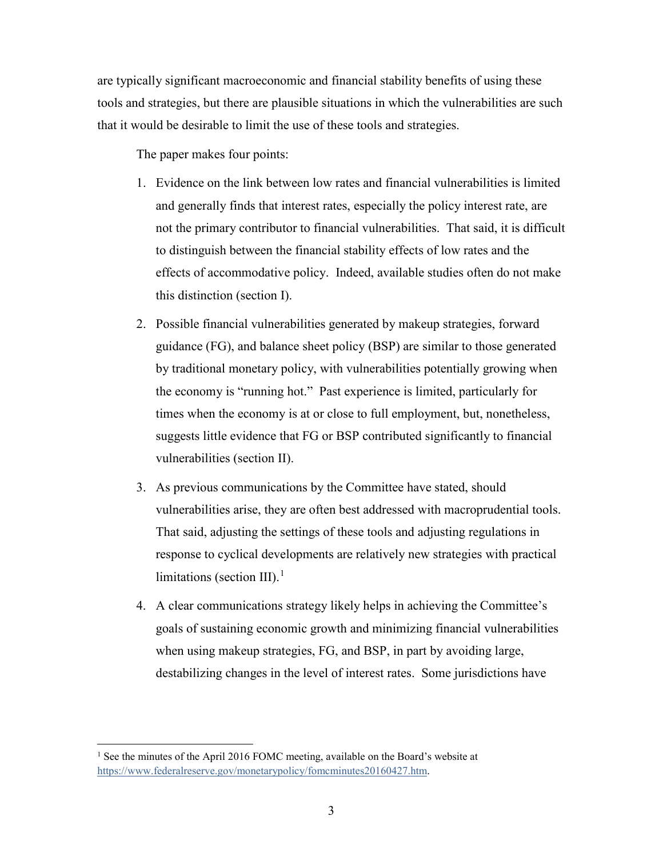are typically significant macroeconomic and financial stability benefits of using these tools and strategies, but there are plausible situations in which the vulnerabilities are such that it would be desirable to limit the use of these tools and strategies.

The paper makes four points:

- 1. Evidence on the link between low rates and financial vulnerabilities is limited and generally finds that interest rates, especially the policy interest rate, are not the primary contributor to financial vulnerabilities. That said, it is difficult to distinguish between the financial stability effects of low rates and the effects of accommodative policy. Indeed, available studies often do not make this distinction (section I).
- 2. Possible financial vulnerabilities generated by makeup strategies, forward guidance (FG), and balance sheet policy (BSP) are similar to those generated by traditional monetary policy, with vulnerabilities potentially growing when the economy is "running hot." Past experience is limited, particularly for times when the economy is at or close to full employment, but, nonetheless, suggests little evidence that FG or BSP contributed significantly to financial vulnerabilities (section II).
- 3. As previous communications by the Committee have stated, should vulnerabilities arise, they are often best addressed with macroprudential tools. That said, adjusting the settings of these tools and adjusting regulations in response to cyclical developments are relatively new strategies with practical limitations (section III).<sup>[1](#page-3-0)</sup>
- 4. A clear communications strategy likely helps in achieving the Committee's goals of sustaining economic growth and minimizing financial vulnerabilities when using makeup strategies, FG, and BSP, in part by avoiding large, destabilizing changes in the level of interest rates. Some jurisdictions have

<span id="page-3-0"></span><sup>&</sup>lt;sup>1</sup> See the minutes of the April 2016 FOMC meeting, available on the Board's website at [https://www.federalreserve.gov/monetarypolicy/fomcminutes20160427.htm.](https://www.federalreserve.gov/monetarypolicy/fomcminutes20160427.htm)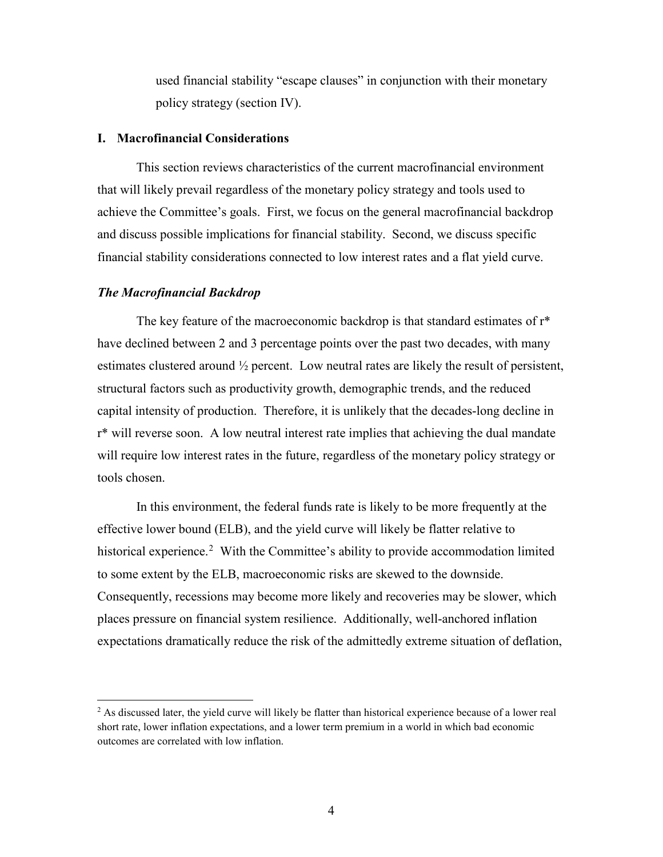used financial stability "escape clauses" in conjunction with their monetary policy strategy (section IV).

## **I. Macrofinancial Considerations**

This section reviews characteristics of the current macrofinancial environment that will likely prevail regardless of the monetary policy strategy and tools used to achieve the Committee's goals. First, we focus on the general macrofinancial backdrop and discuss possible implications for financial stability. Second, we discuss specific financial stability considerations connected to low interest rates and a flat yield curve.

#### *The Macrofinancial Backdrop*

The key feature of the macroeconomic backdrop is that standard estimates of r\* have declined between 2 and 3 percentage points over the past two decades, with many estimates clustered around ½ percent. Low neutral rates are likely the result of persistent, structural factors such as productivity growth, demographic trends, and the reduced capital intensity of production. Therefore, it is unlikely that the decades-long decline in r\* will reverse soon. A low neutral interest rate implies that achieving the dual mandate will require low interest rates in the future, regardless of the monetary policy strategy or tools chosen.

In this environment, the federal funds rate is likely to be more frequently at the effective lower bound (ELB), and the yield curve will likely be flatter relative to historical experience.<sup>[2](#page-4-0)</sup> With the Committee's ability to provide accommodation limited to some extent by the ELB, macroeconomic risks are skewed to the downside. Consequently, recessions may become more likely and recoveries may be slower, which places pressure on financial system resilience. Additionally, well-anchored inflation expectations dramatically reduce the risk of the admittedly extreme situation of deflation,

<span id="page-4-0"></span> $<sup>2</sup>$  As discussed later, the yield curve will likely be flatter than historical experience because of a lower real</sup> short rate, lower inflation expectations, and a lower term premium in a world in which bad economic outcomes are correlated with low inflation.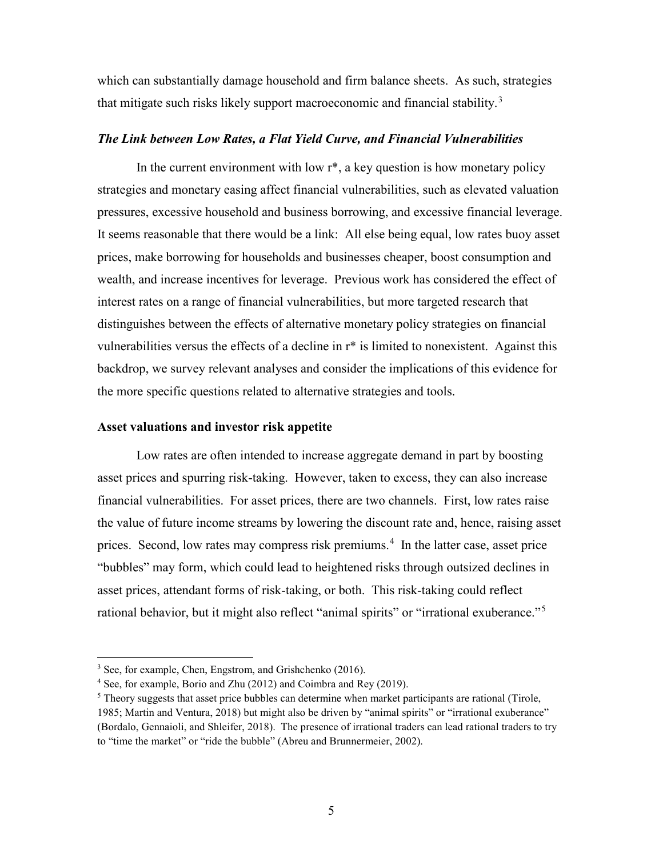which can substantially damage household and firm balance sheets. As such, strategies that mitigate such risks likely support macroeconomic and financial stability.<sup>[3](#page-5-0)</sup>

## *The Link between Low Rates, a Flat Yield Curve, and Financial Vulnerabilities*

In the current environment with low  $r^*$ , a key question is how monetary policy strategies and monetary easing affect financial vulnerabilities, such as elevated valuation pressures, excessive household and business borrowing, and excessive financial leverage. It seems reasonable that there would be a link: All else being equal, low rates buoy asset prices, make borrowing for households and businesses cheaper, boost consumption and wealth, and increase incentives for leverage. Previous work has considered the effect of interest rates on a range of financial vulnerabilities, but more targeted research that distinguishes between the effects of alternative monetary policy strategies on financial vulnerabilities versus the effects of a decline in r\* is limited to nonexistent. Against this backdrop, we survey relevant analyses and consider the implications of this evidence for the more specific questions related to alternative strategies and tools.

#### **Asset valuations and investor risk appetite**

Low rates are often intended to increase aggregate demand in part by boosting asset prices and spurring risk-taking. However, taken to excess, they can also increase financial vulnerabilities. For asset prices, there are two channels. First, low rates raise the value of future income streams by lowering the discount rate and, hence, raising asset prices. Second, low rates may compress risk premiums. [4](#page-5-1) In the latter case, asset price "bubbles" may form, which could lead to heightened risks through outsized declines in asset prices, attendant forms of risk-taking, or both. This risk-taking could reflect rational behavior, but it might also reflect "animal spirits" or "irrational exuberance."<sup>[5](#page-5-2)</sup>

<span id="page-5-0"></span><sup>&</sup>lt;sup>3</sup> See, for example, Chen, Engstrom, and Grishchenko (2016).

<span id="page-5-1"></span><sup>4</sup> See, for example, Borio and Zhu (2012) and Coimbra and Rey (2019).

<span id="page-5-2"></span> $<sup>5</sup>$  Theory suggests that asset price bubbles can determine when market participants are rational (Tirole,</sup> 1985; Martin and Ventura, 2018) but might also be driven by "animal spirits" or "irrational exuberance" (Bordalo, Gennaioli, and Shleifer, 2018). The presence of irrational traders can lead rational traders to try to "time the market" or "ride the bubble" (Abreu and Brunnermeier, 2002).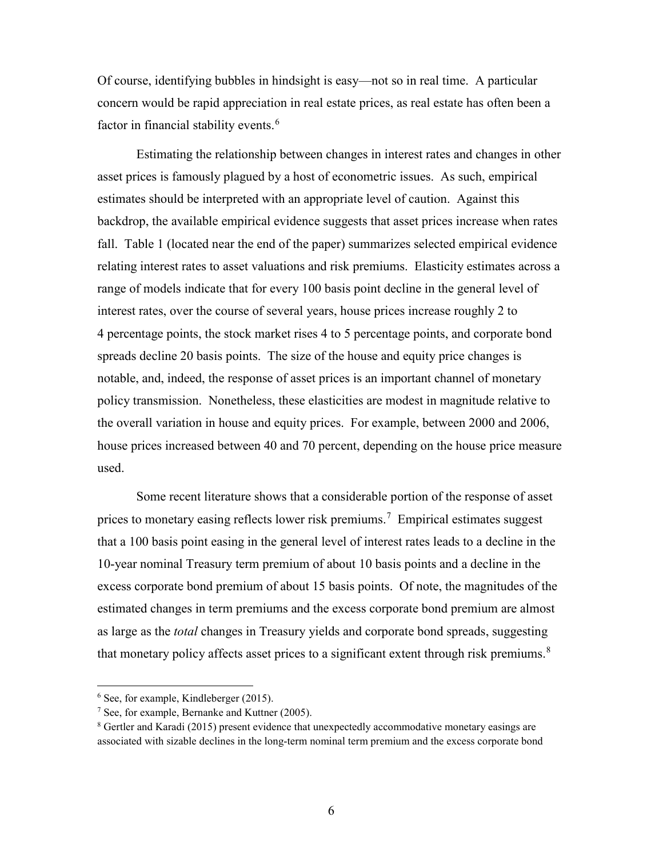Of course, identifying bubbles in hindsight is easy—not so in real time. A particular concern would be rapid appreciation in real estate prices, as real estate has often been a factor in financial stability events.<sup>[6](#page-6-0)</sup>

Estimating the relationship between changes in interest rates and changes in other asset prices is famously plagued by a host of econometric issues. As such, empirical estimates should be interpreted with an appropriate level of caution. Against this backdrop, the available empirical evidence suggests that asset prices increase when rates fall. Table 1 (located near the end of the paper) summarizes selected empirical evidence relating interest rates to asset valuations and risk premiums. Elasticity estimates across a range of models indicate that for every 100 basis point decline in the general level of interest rates, over the course of several years, house prices increase roughly 2 to 4 percentage points, the stock market rises 4 to 5 percentage points, and corporate bond spreads decline 20 basis points. The size of the house and equity price changes is notable, and, indeed, the response of asset prices is an important channel of monetary policy transmission. Nonetheless, these elasticities are modest in magnitude relative to the overall variation in house and equity prices. For example, between 2000 and 2006, house prices increased between 40 and 70 percent, depending on the house price measure used.

Some recent literature shows that a considerable portion of the response of asset prices to monetary easing reflects lower risk premiums.<sup>[7](#page-6-1)</sup> Empirical estimates suggest that a 100 basis point easing in the general level of interest rates leads to a decline in the 10-year nominal Treasury term premium of about 10 basis points and a decline in the excess corporate bond premium of about 15 basis points. Of note, the magnitudes of the estimated changes in term premiums and the excess corporate bond premium are almost as large as the *total* changes in Treasury yields and corporate bond spreads, suggesting that monetary policy affects asset prices to a significant extent through risk premiums. $8$ 

<span id="page-6-0"></span> $6$  See, for example, Kindleberger (2015).

<span id="page-6-1"></span> $7$  See, for example, Bernanke and Kuttner (2005).

<span id="page-6-2"></span><sup>8</sup> Gertler and Karadi (2015) present evidence that unexpectedly accommodative monetary easings are associated with sizable declines in the long-term nominal term premium and the excess corporate bond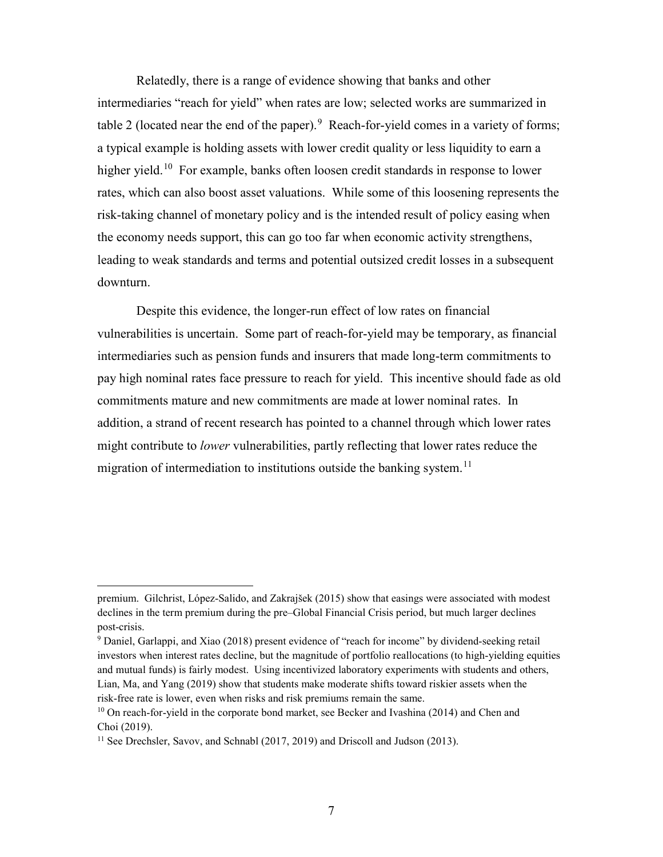Relatedly, there is a range of evidence showing that banks and other intermediaries "reach for yield" when rates are low; selected works are summarized in table 2 (located near the end of the paper). <sup>[9](#page-7-0)</sup> Reach-for-yield comes in a variety of forms; a typical example is holding assets with lower credit quality or less liquidity to earn a higher yield.<sup>[10](#page-7-1)</sup> For example, banks often loosen credit standards in response to lower rates, which can also boost asset valuations. While some of this loosening represents the risk-taking channel of monetary policy and is the intended result of policy easing when the economy needs support, this can go too far when economic activity strengthens, leading to weak standards and terms and potential outsized credit losses in a subsequent downturn.

Despite this evidence, the longer-run effect of low rates on financial vulnerabilities is uncertain. Some part of reach-for-yield may be temporary, as financial intermediaries such as pension funds and insurers that made long-term commitments to pay high nominal rates face pressure to reach for yield. This incentive should fade as old commitments mature and new commitments are made at lower nominal rates. In addition, a strand of recent research has pointed to a channel through which lower rates might contribute to *lower* vulnerabilities, partly reflecting that lower rates reduce the migration of intermediation to institutions outside the banking system.<sup>[11](#page-7-2)</sup>

 $\overline{a}$ 

premium. Gilchrist, López-Salido, and Zakrajšek (2015) show that easings were associated with modest declines in the term premium during the pre–Global Financial Crisis period, but much larger declines post-crisis.<br><sup>9</sup> Daniel, Garlappi, and Xiao (2018) present evidence of "reach for income" by dividend-seeking retail

<span id="page-7-0"></span>investors when interest rates decline, but the magnitude of portfolio reallocations (to high-yielding equities and mutual funds) is fairly modest. Using incentivized laboratory experiments with students and others, Lian, Ma, and Yang (2019) show that students make moderate shifts toward riskier assets when the risk-free rate is lower, even when risks and risk premiums remain the same.

<span id="page-7-1"></span> $10$  On reach-for-yield in the corporate bond market, see Becker and Ivashina (2014) and Chen and Choi (2019).<br><sup>11</sup> See Drechsler, Savov, and Schnabl (2017, 2019) and Driscoll and Judson (2013).

<span id="page-7-2"></span>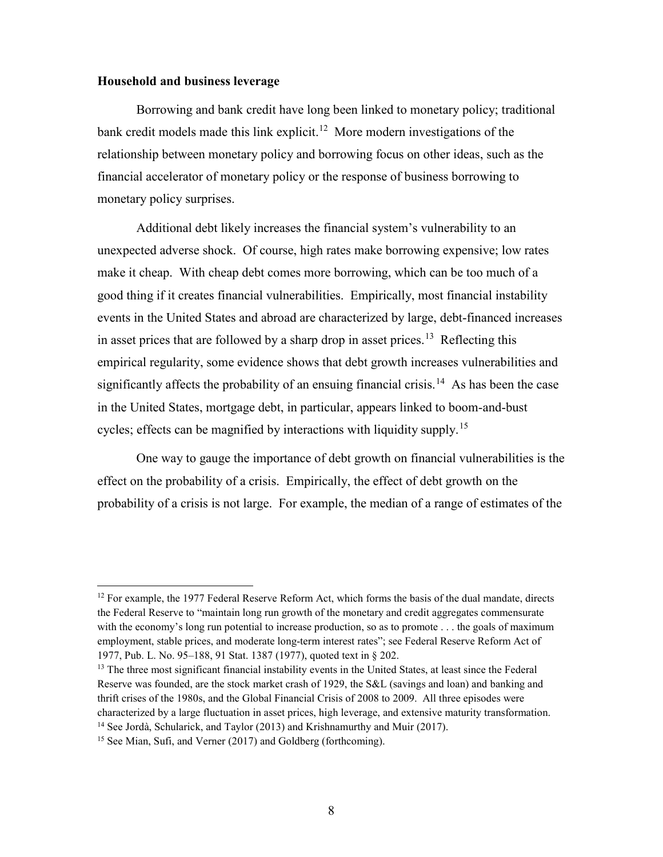#### **Household and business leverage**

Borrowing and bank credit have long been linked to monetary policy; traditional bank credit models made this link explicit.<sup>[12](#page-8-0)</sup> More modern investigations of the relationship between monetary policy and borrowing focus on other ideas, such as the financial accelerator of monetary policy or the response of business borrowing to monetary policy surprises.

Additional debt likely increases the financial system's vulnerability to an unexpected adverse shock. Of course, high rates make borrowing expensive; low rates make it cheap. With cheap debt comes more borrowing, which can be too much of a good thing if it creates financial vulnerabilities. Empirically, most financial instability events in the United States and abroad are characterized by large, debt-financed increases in asset prices that are followed by a sharp drop in asset prices.<sup>[13](#page-8-1)</sup> Reflecting this empirical regularity, some evidence shows that debt growth increases vulnerabilities and significantly affects the probability of an ensuing financial crisis.<sup>[14](#page-8-2)</sup> As has been the case in the United States, mortgage debt, in particular, appears linked to boom-and-bust cycles; effects can be magnified by interactions with liquidity supply.<sup>15</sup>

One way to gauge the importance of debt growth on financial vulnerabilities is the effect on the probability of a crisis. Empirically, the effect of debt growth on the probability of a crisis is not large. For example, the median of a range of estimates of the

<span id="page-8-0"></span> $12$  For example, the 1977 Federal Reserve Reform Act, which forms the basis of the dual mandate, directs the Federal Reserve to "maintain long run growth of the monetary and credit aggregates commensurate with the economy's long run potential to increase production, so as to promote . . . the goals of maximum employment, stable prices, and moderate long-term interest rates"; see Federal Reserve Reform Act of 1977, Pub. L. No. 95–188, 91 Stat. 1387 (1977), quoted text in § 202.<br><sup>13</sup> The three most significant financial instability events in the United States, at least since the Federal

<span id="page-8-1"></span>Reserve was founded, are the stock market crash of 1929, the S&L (savings and loan) and banking and thrift crises of the 1980s, and the Global Financial Crisis of 2008 to 2009. All three episodes were characterized by a large fluctuation in asset prices, high leverage, and extensive maturity transformation. 14 See Jordà, Schularick, and Taylor (2013) and Krishnamurthy and Muir (2017).

<span id="page-8-3"></span><span id="page-8-2"></span><sup>&</sup>lt;sup>15</sup> See Mian, Sufi, and Verner (2017) and Goldberg (forthcoming).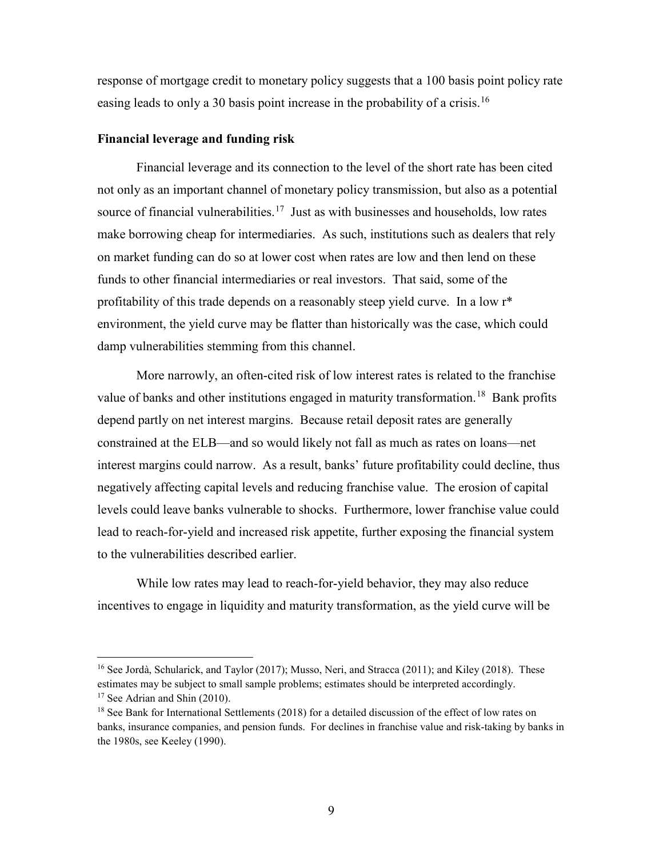response of mortgage credit to monetary policy suggests that a 100 basis point policy rate easing leads to only a 30 basis point increase in the probability of a crisis.<sup>[16](#page-9-0)</sup>

## **Financial leverage and funding risk**

Financial leverage and its connection to the level of the short rate has been cited not only as an important channel of monetary policy transmission, but also as a potential source of financial vulnerabilities.<sup>17</sup> Just as with businesses and households, low rates make borrowing cheap for intermediaries. As such, institutions such as dealers that rely on market funding can do so at lower cost when rates are low and then lend on these funds to other financial intermediaries or real investors. That said, some of the profitability of this trade depends on a reasonably steep yield curve. In a low r\* environment, the yield curve may be flatter than historically was the case, which could damp vulnerabilities stemming from this channel.

More narrowly, an often-cited risk of low interest rates is related to the franchise value of banks and other institutions engaged in maturity transformation.<sup>18</sup> Bank profits depend partly on net interest margins. Because retail deposit rates are generally constrained at the ELB—and so would likely not fall as much as rates on loans—net interest margins could narrow. As a result, banks' future profitability could decline, thus negatively affecting capital levels and reducing franchise value. The erosion of capital levels could leave banks vulnerable to shocks. Furthermore, lower franchise value could lead to reach-for-yield and increased risk appetite, further exposing the financial system to the vulnerabilities described earlier.

While low rates may lead to reach-for-yield behavior, they may also reduce incentives to engage in liquidity and maturity transformation, as the yield curve will be

<span id="page-9-0"></span> <sup>16</sup> See Jordà, Schularick, and Taylor (2017); Musso, Neri, and Stracca (2011); and Kiley (2018). These estimates may be subject to small sample problems; estimates should be interpreted accordingly.  $17$  See Adrian and Shin (2010).

<span id="page-9-2"></span><span id="page-9-1"></span><sup>&</sup>lt;sup>18</sup> See Bank for International Settlements (2018) for a detailed discussion of the effect of low rates on banks, insurance companies, and pension funds. For declines in franchise value and risk-taking by banks in the 1980s, see Keeley (1990).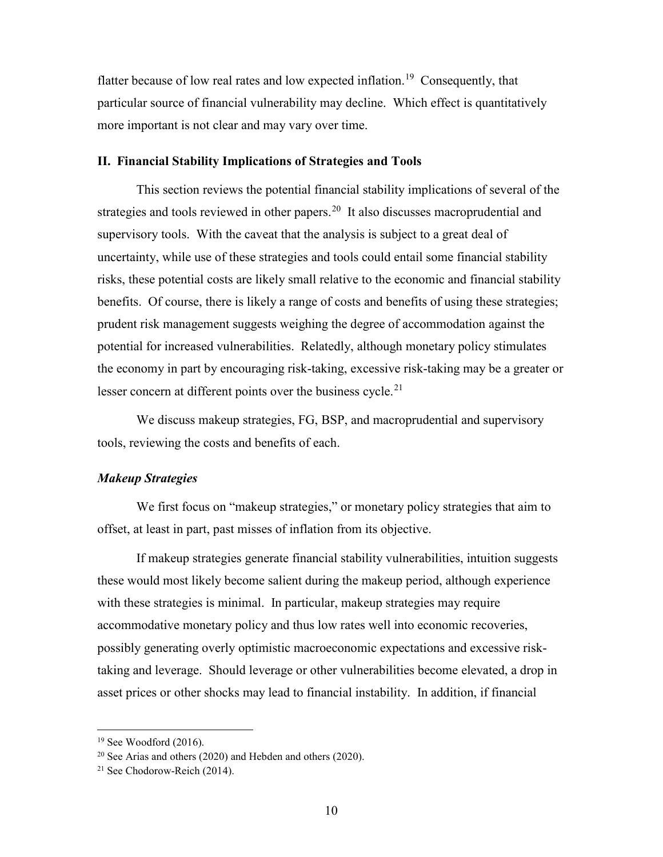flatter because of low real rates and low expected inflation.<sup>[19](#page-10-0)</sup> Consequently, that particular source of financial vulnerability may decline. Which effect is quantitatively more important is not clear and may vary over time.

## **II. Financial Stability Implications of Strategies and Tools**

This section reviews the potential financial stability implications of several of the strategies and tools reviewed in other papers.<sup>[20](#page-10-1)</sup> It also discusses macroprudential and supervisory tools. With the caveat that the analysis is subject to a great deal of uncertainty, while use of these strategies and tools could entail some financial stability risks, these potential costs are likely small relative to the economic and financial stability benefits. Of course, there is likely a range of costs and benefits of using these strategies; prudent risk management suggests weighing the degree of accommodation against the potential for increased vulnerabilities. Relatedly, although monetary policy stimulates the economy in part by encouraging risk-taking, excessive risk-taking may be a greater or lesser concern at different points over the business cycle.<sup>[21](#page-10-2)</sup>

We discuss makeup strategies, FG, BSP, and macroprudential and supervisory tools, reviewing the costs and benefits of each.

## *Makeup Strategies*

We first focus on "makeup strategies," or monetary policy strategies that aim to offset, at least in part, past misses of inflation from its objective.

If makeup strategies generate financial stability vulnerabilities, intuition suggests these would most likely become salient during the makeup period, although experience with these strategies is minimal. In particular, makeup strategies may require accommodative monetary policy and thus low rates well into economic recoveries, possibly generating overly optimistic macroeconomic expectations and excessive risktaking and leverage. Should leverage or other vulnerabilities become elevated, a drop in asset prices or other shocks may lead to financial instability. In addition, if financial

<span id="page-10-0"></span> $19$  See Woodford (2016).

<span id="page-10-1"></span> $20$  See Arias and others (2020) and Hebden and others (2020).

<span id="page-10-2"></span><sup>21</sup> See Chodorow-Reich (2014).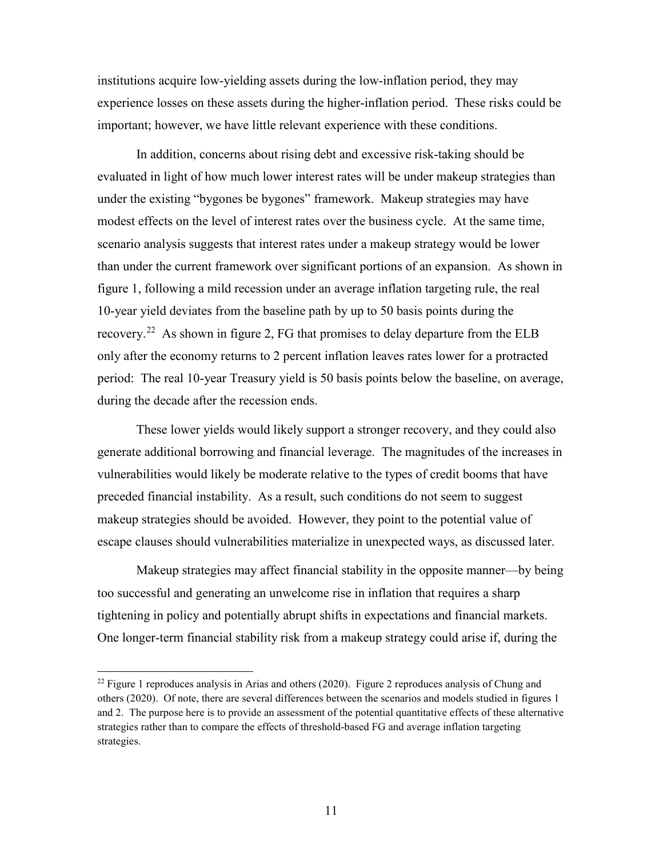institutions acquire low-yielding assets during the low-inflation period, they may experience losses on these assets during the higher-inflation period. These risks could be important; however, we have little relevant experience with these conditions.

In addition, concerns about rising debt and excessive risk-taking should be evaluated in light of how much lower interest rates will be under makeup strategies than under the existing "bygones be bygones" framework. Makeup strategies may have modest effects on the level of interest rates over the business cycle. At the same time, scenario analysis suggests that interest rates under a makeup strategy would be lower than under the current framework over significant portions of an expansion. As shown in figure 1, following a mild recession under an average inflation targeting rule, the real 10-year yield deviates from the baseline path by up to 50 basis points during the recovery.<sup>[22](#page-11-0)</sup> As shown in figure 2, FG that promises to delay departure from the ELB only after the economy returns to 2 percent inflation leaves rates lower for a protracted period: The real 10-year Treasury yield is 50 basis points below the baseline, on average, during the decade after the recession ends.

These lower yields would likely support a stronger recovery, and they could also generate additional borrowing and financial leverage. The magnitudes of the increases in vulnerabilities would likely be moderate relative to the types of credit booms that have preceded financial instability. As a result, such conditions do not seem to suggest makeup strategies should be avoided. However, they point to the potential value of escape clauses should vulnerabilities materialize in unexpected ways, as discussed later.

Makeup strategies may affect financial stability in the opposite manner—by being too successful and generating an unwelcome rise in inflation that requires a sharp tightening in policy and potentially abrupt shifts in expectations and financial markets. One longer-term financial stability risk from a makeup strategy could arise if, during the

<span id="page-11-0"></span> $^{22}$  Figure 1 reproduces analysis in Arias and others (2020). Figure 2 reproduces analysis of Chung and others (2020). Of note, there are several differences between the scenarios and models studied in figures 1 and 2. The purpose here is to provide an assessment of the potential quantitative effects of these alternative strategies rather than to compare the effects of threshold-based FG and average inflation targeting strategies.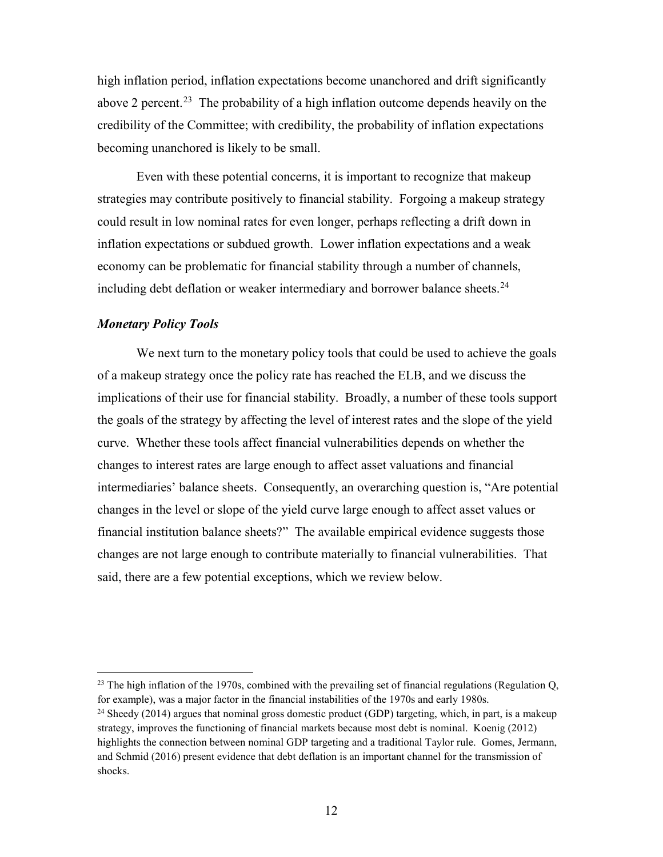high inflation period, inflation expectations become unanchored and drift significantly above 2 percent.<sup>[23](#page-12-0)</sup> The probability of a high inflation outcome depends heavily on the credibility of the Committee; with credibility, the probability of inflation expectations becoming unanchored is likely to be small.

Even with these potential concerns, it is important to recognize that makeup strategies may contribute positively to financial stability. Forgoing a makeup strategy could result in low nominal rates for even longer, perhaps reflecting a drift down in inflation expectations or subdued growth. Lower inflation expectations and a weak economy can be problematic for financial stability through a number of channels, including debt deflation or weaker intermediary and borrower balance sheets.<sup>[24](#page-12-1)</sup>

## *Monetary Policy Tools*

We next turn to the monetary policy tools that could be used to achieve the goals of a makeup strategy once the policy rate has reached the ELB, and we discuss the implications of their use for financial stability. Broadly, a number of these tools support the goals of the strategy by affecting the level of interest rates and the slope of the yield curve. Whether these tools affect financial vulnerabilities depends on whether the changes to interest rates are large enough to affect asset valuations and financial intermediaries' balance sheets. Consequently, an overarching question is, "Are potential changes in the level or slope of the yield curve large enough to affect asset values or financial institution balance sheets?" The available empirical evidence suggests those changes are not large enough to contribute materially to financial vulnerabilities. That said, there are a few potential exceptions, which we review below.

<span id="page-12-0"></span><sup>&</sup>lt;sup>23</sup> The high inflation of the 1970s, combined with the prevailing set of financial regulations (Regulation Q, for example), was a major factor in the financial instabilities of the 1970s and early 1980s.

<span id="page-12-1"></span><sup>&</sup>lt;sup>24</sup> Sheedy (2014) argues that nominal gross domestic product (GDP) targeting, which, in part, is a makeup strategy, improves the functioning of financial markets because most debt is nominal. Koenig (2012) highlights the connection between nominal GDP targeting and a traditional Taylor rule. Gomes, Jermann, and Schmid (2016) present evidence that debt deflation is an important channel for the transmission of shocks.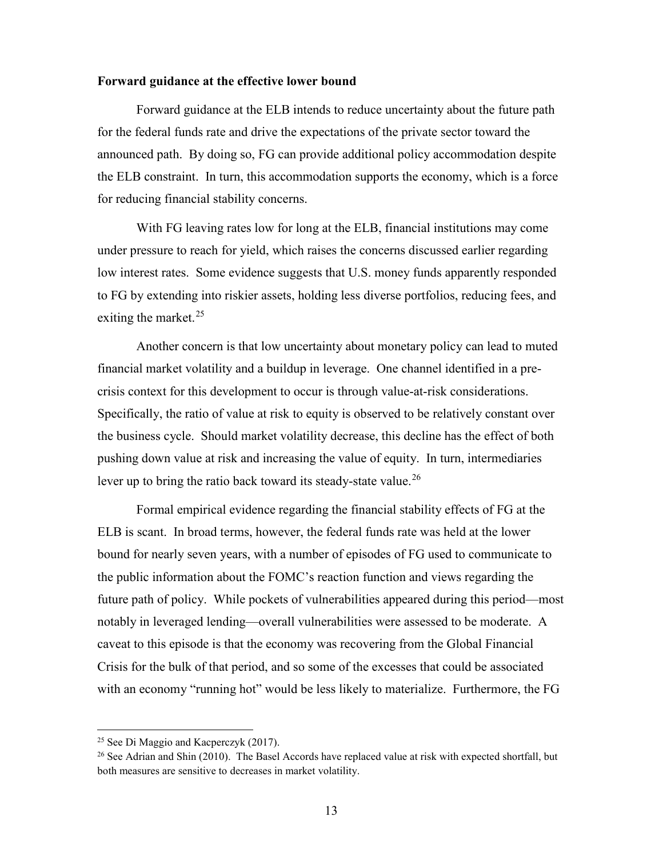#### **Forward guidance at the effective lower bound**

Forward guidance at the ELB intends to reduce uncertainty about the future path for the federal funds rate and drive the expectations of the private sector toward the announced path. By doing so, FG can provide additional policy accommodation despite the ELB constraint. In turn, this accommodation supports the economy, which is a force for reducing financial stability concerns.

With FG leaving rates low for long at the ELB, financial institutions may come under pressure to reach for yield, which raises the concerns discussed earlier regarding low interest rates. Some evidence suggests that U.S. money funds apparently responded to FG by extending into riskier assets, holding less diverse portfolios, reducing fees, and exiting the market.<sup>[25](#page-13-0)</sup>

Another concern is that low uncertainty about monetary policy can lead to muted financial market volatility and a buildup in leverage. One channel identified in a precrisis context for this development to occur is through value-at-risk considerations. Specifically, the ratio of value at risk to equity is observed to be relatively constant over the business cycle. Should market volatility decrease, this decline has the effect of both pushing down value at risk and increasing the value of equity. In turn, intermediaries lever up to bring the ratio back toward its steady-state value.<sup>[26](#page-13-1)</sup>

Formal empirical evidence regarding the financial stability effects of FG at the ELB is scant. In broad terms, however, the federal funds rate was held at the lower bound for nearly seven years, with a number of episodes of FG used to communicate to the public information about the FOMC's reaction function and views regarding the future path of policy. While pockets of vulnerabilities appeared during this period—most notably in leveraged lending—overall vulnerabilities were assessed to be moderate. A caveat to this episode is that the economy was recovering from the Global Financial Crisis for the bulk of that period, and so some of the excesses that could be associated with an economy "running hot" would be less likely to materialize. Furthermore, the FG

<span id="page-13-0"></span><sup>&</sup>lt;sup>25</sup> See Di Maggio and Kacperczyk  $(2017)$ .

<span id="page-13-1"></span> $^{26}$  See Adrian and Shin (2010). The Basel Accords have replaced value at risk with expected shortfall, but both measures are sensitive to decreases in market volatility.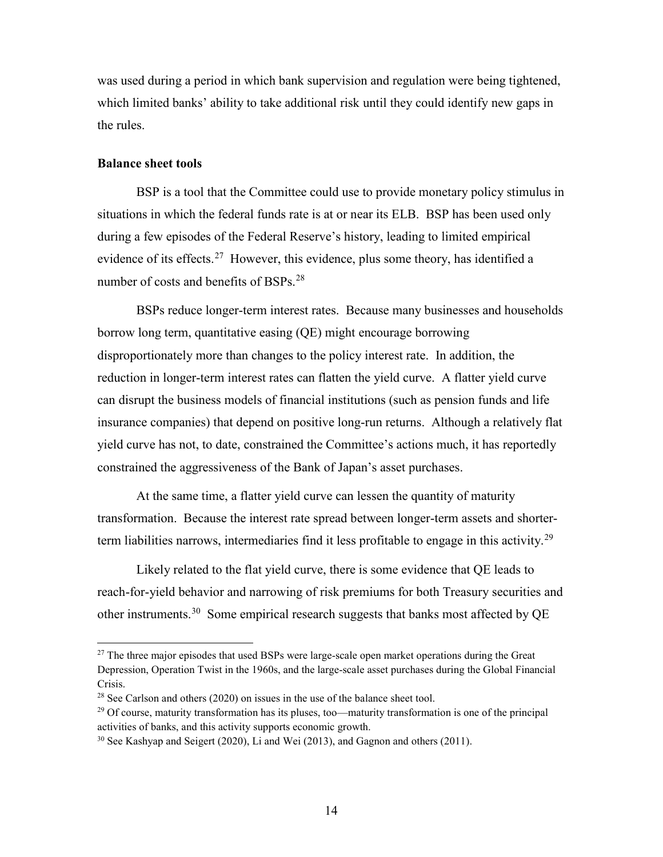was used during a period in which bank supervision and regulation were being tightened, which limited banks' ability to take additional risk until they could identify new gaps in the rules.

## **Balance sheet tools**

BSP is a tool that the Committee could use to provide monetary policy stimulus in situations in which the federal funds rate is at or near its ELB. BSP has been used only during a few episodes of the Federal Reserve's history, leading to limited empirical evidence of its effects.<sup>27</sup> However, this evidence, plus some theory, has identified a number of costs and benefits of BSPs.<sup>28</sup>

BSPs reduce longer-term interest rates. Because many businesses and households borrow long term, quantitative easing (QE) might encourage borrowing disproportionately more than changes to the policy interest rate. In addition, the reduction in longer-term interest rates can flatten the yield curve. A flatter yield curve can disrupt the business models of financial institutions (such as pension funds and life insurance companies) that depend on positive long-run returns. Although a relatively flat yield curve has not, to date, constrained the Committee's actions much, it has reportedly constrained the aggressiveness of the Bank of Japan's asset purchases.

At the same time, a flatter yield curve can lessen the quantity of maturity transformation. Because the interest rate spread between longer-term assets and shorter-term liabilities narrows, intermediaries find it less profitable to engage in this activity.<sup>[29](#page-14-2)</sup>

Likely related to the flat yield curve, there is some evidence that QE leads to reach-for-yield behavior and narrowing of risk premiums for both Treasury securities and other instruments.<sup>[30](#page-14-3)</sup> Some empirical research suggests that banks most affected by QE

<span id="page-14-0"></span> $27$  The three major episodes that used BSPs were large-scale open market operations during the Great Depression, Operation Twist in the 1960s, and the large-scale asset purchases during the Global Financial Crisis.

<span id="page-14-1"></span> $^{28}$  See Carlson and others (2020) on issues in the use of the balance sheet tool.

<span id="page-14-2"></span><sup>&</sup>lt;sup>29</sup> Of course, maturity transformation has its pluses, too—maturity transformation is one of the principal activities of banks, and this activity supports economic growth.<br><sup>30</sup> See Kashyap and Seigert (2020), Li and Wei (2013), and Gagnon and others (2011).

<span id="page-14-3"></span>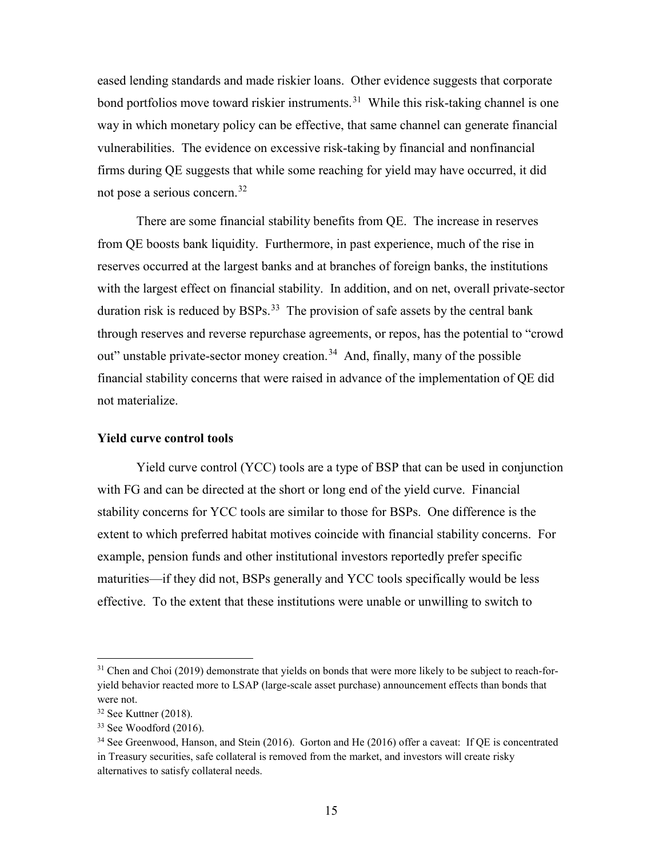eased lending standards and made riskier loans. Other evidence suggests that corporate bond portfolios move toward riskier instruments.<sup>31</sup> While this risk-taking channel is one way in which monetary policy can be effective, that same channel can generate financial vulnerabilities. The evidence on excessive risk-taking by financial and nonfinancial firms during QE suggests that while some reaching for yield may have occurred, it did not pose a serious concern.<sup>[32](#page-15-1)</sup>

There are some financial stability benefits from QE. The increase in reserves from QE boosts bank liquidity. Furthermore, in past experience, much of the rise in reserves occurred at the largest banks and at branches of foreign banks, the institutions with the largest effect on financial stability. In addition, and on net, overall private-sector duration risk is reduced by BSPs.<sup>33</sup> The provision of safe assets by the central bank through reserves and reverse repurchase agreements, or repos, has the potential to "crowd out" unstable private-sector money creation.<sup>34</sup> And, finally, many of the possible financial stability concerns that were raised in advance of the implementation of QE did not materialize.

## **Yield curve control tools**

Yield curve control (YCC) tools are a type of BSP that can be used in conjunction with FG and can be directed at the short or long end of the yield curve. Financial stability concerns for YCC tools are similar to those for BSPs. One difference is the extent to which preferred habitat motives coincide with financial stability concerns. For example, pension funds and other institutional investors reportedly prefer specific maturities—if they did not, BSPs generally and YCC tools specifically would be less effective. To the extent that these institutions were unable or unwilling to switch to

<span id="page-15-0"></span> $31$  Chen and Choi (2019) demonstrate that yields on bonds that were more likely to be subject to reach-foryield behavior reacted more to LSAP (large-scale asset purchase) announcement effects than bonds that were not.

<span id="page-15-1"></span><sup>32</sup> See Kuttner (2018).

<span id="page-15-2"></span> $33$  See Woodford  $(2016)$ .

<span id="page-15-3"></span><sup>&</sup>lt;sup>34</sup> See Greenwood, Hanson, and Stein (2016). Gorton and He (2016) offer a caveat: If QE is concentrated in Treasury securities, safe collateral is removed from the market, and investors will create risky alternatives to satisfy collateral needs.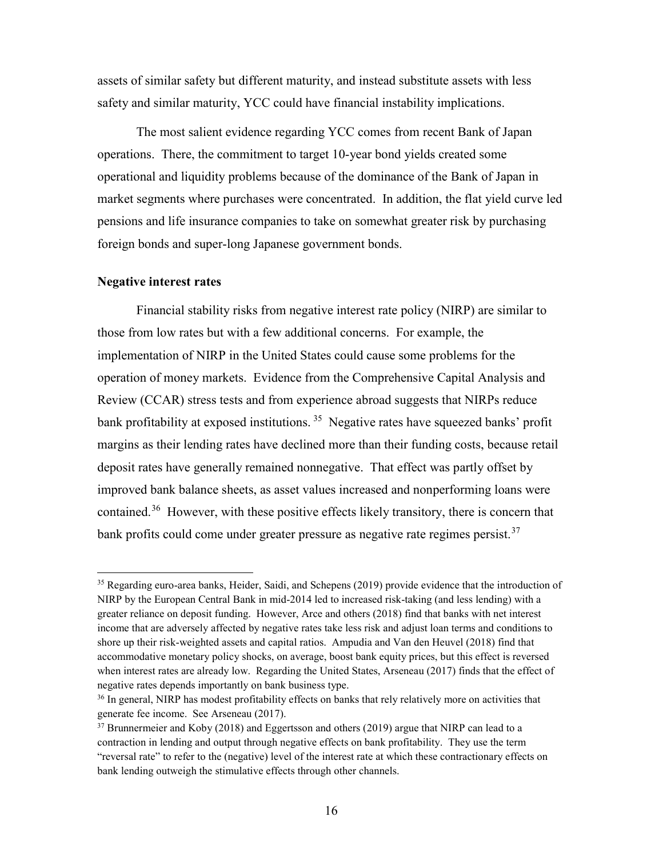assets of similar safety but different maturity, and instead substitute assets with less safety and similar maturity, YCC could have financial instability implications.

The most salient evidence regarding YCC comes from recent Bank of Japan operations. There, the commitment to target 10-year bond yields created some operational and liquidity problems because of the dominance of the Bank of Japan in market segments where purchases were concentrated. In addition, the flat yield curve led pensions and life insurance companies to take on somewhat greater risk by purchasing foreign bonds and super-long Japanese government bonds.

## **Negative interest rates**

Financial stability risks from negative interest rate policy (NIRP) are similar to those from low rates but with a few additional concerns. For example, the implementation of NIRP in the United States could cause some problems for the operation of money markets. Evidence from the Comprehensive Capital Analysis and Review (CCAR) stress tests and from experience abroad suggests that NIRPs reduce bank profitability at exposed institutions.<sup>35</sup> Negative rates have squeezed banks' profit margins as their lending rates have declined more than their funding costs, because retail deposit rates have generally remained nonnegative. That effect was partly offset by improved bank balance sheets, as asset values increased and nonperforming loans were contained.<sup>[36](#page-16-1)</sup> However, with these positive effects likely transitory, there is concern that bank profits could come under greater pressure as negative rate regimes persist.<sup>[37](#page-16-2)</sup>

<span id="page-16-0"></span><sup>&</sup>lt;sup>35</sup> Regarding euro-area banks, Heider, Saidi, and Schepens (2019) provide evidence that the introduction of NIRP by the European Central Bank in mid-2014 led to increased risk-taking (and less lending) with a greater reliance on deposit funding. However, Arce and others (2018) find that banks with net interest income that are adversely affected by negative rates take less risk and adjust loan terms and conditions to shore up their risk-weighted assets and capital ratios. Ampudia and Van den Heuvel (2018) find that accommodative monetary policy shocks, on average, boost bank equity prices, but this effect is reversed when interest rates are already low. Regarding the United States, Arseneau (2017) finds that the effect of negative rates depends importantly on bank business type.

<span id="page-16-1"></span><sup>&</sup>lt;sup>36</sup> In general, NIRP has modest profitability effects on banks that rely relatively more on activities that generate fee income. See Arseneau (2017).

<span id="page-16-2"></span> $37$  Brunnermeier and Koby (2018) and Eggertsson and others (2019) argue that NIRP can lead to a contraction in lending and output through negative effects on bank profitability. They use the term "reversal rate" to refer to the (negative) level of the interest rate at which these contractionary effects on bank lending outweigh the stimulative effects through other channels.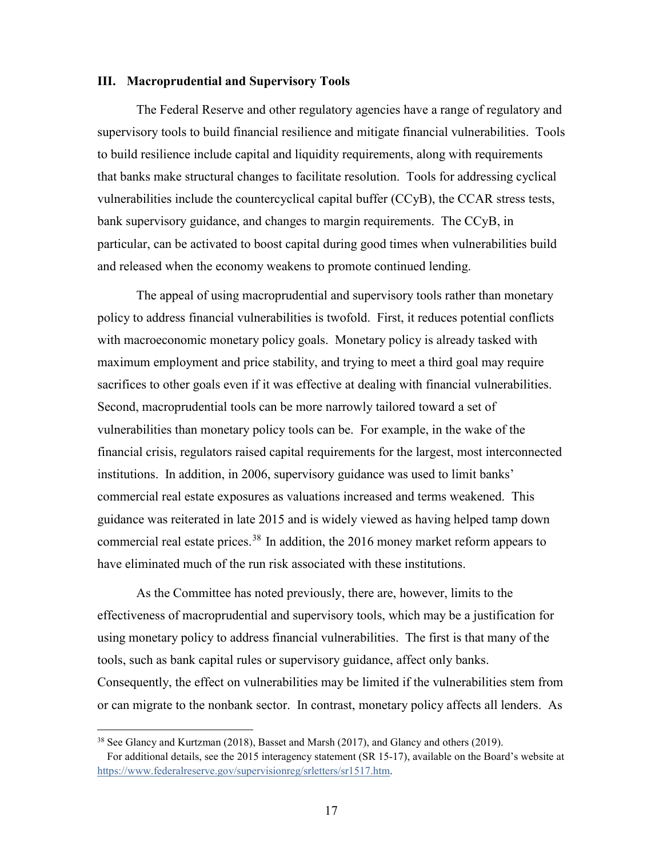#### **III. Macroprudential and Supervisory Tools**

The Federal Reserve and other regulatory agencies have a range of regulatory and supervisory tools to build financial resilience and mitigate financial vulnerabilities. Tools to build resilience include capital and liquidity requirements, along with requirements that banks make structural changes to facilitate resolution. Tools for addressing cyclical vulnerabilities include the countercyclical capital buffer (CCyB), the CCAR stress tests, bank supervisory guidance, and changes to margin requirements. The CCyB, in particular, can be activated to boost capital during good times when vulnerabilities build and released when the economy weakens to promote continued lending.

The appeal of using macroprudential and supervisory tools rather than monetary policy to address financial vulnerabilities is twofold. First, it reduces potential conflicts with macroeconomic monetary policy goals. Monetary policy is already tasked with maximum employment and price stability, and trying to meet a third goal may require sacrifices to other goals even if it was effective at dealing with financial vulnerabilities. Second, macroprudential tools can be more narrowly tailored toward a set of vulnerabilities than monetary policy tools can be. For example, in the wake of the financial crisis, regulators raised capital requirements for the largest, most interconnected institutions. In addition, in 2006, supervisory guidance was used to limit banks' commercial real estate exposures as valuations increased and terms weakened. This guidance was reiterated in late 2015 and is widely viewed as having helped tamp down commercial real estate prices.<sup>[38](#page-17-0)</sup> In addition, the 2016 money market reform appears to have eliminated much of the run risk associated with these institutions.

As the Committee has noted previously, there are, however, limits to the effectiveness of macroprudential and supervisory tools, which may be a justification for using monetary policy to address financial vulnerabilities. The first is that many of the tools, such as bank capital rules or supervisory guidance, affect only banks. Consequently, the effect on vulnerabilities may be limited if the vulnerabilities stem from or can migrate to the nonbank sector. In contrast, monetary policy affects all lenders. As

<span id="page-17-0"></span> <sup>38</sup> See Glancy and Kurtzman (2018), Basset and Marsh (2017), and Glancy and others (2019).

For additional details, see the 2015 interagency statement (SR 15-17), available on the Board's website at [https://www.federalreserve.gov/supervisionreg/srletters/sr1517.htm.](https://www.federalreserve.gov/supervisionreg/srletters/sr1517.htm)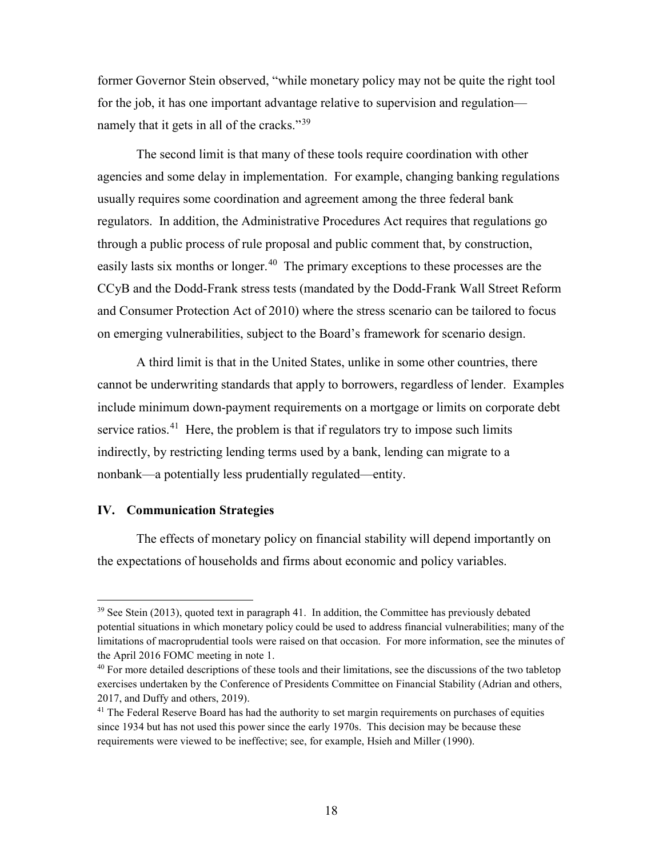former Governor Stein observed, "while monetary policy may not be quite the right tool for the job, it has one important advantage relative to supervision and regulation— namely that it gets in all of the cracks."<sup>[39](#page-18-0)</sup>

The second limit is that many of these tools require coordination with other agencies and some delay in implementation. For example, changing banking regulations usually requires some coordination and agreement among the three federal bank regulators. In addition, the Administrative Procedures Act requires that regulations go through a public process of rule proposal and public comment that, by construction, easily lasts six months or longer.<sup>[40](#page-18-1)</sup> The primary exceptions to these processes are the CCyB and the Dodd-Frank stress tests (mandated by the Dodd-Frank Wall Street Reform and Consumer Protection Act of 2010) where the stress scenario can be tailored to focus on emerging vulnerabilities, subject to the Board's framework for scenario design.

A third limit is that in the United States, unlike in some other countries, there cannot be underwriting standards that apply to borrowers, regardless of lender. Examples include minimum down-payment requirements on a mortgage or limits on corporate debt service ratios.<sup>[41](#page-18-2)</sup> Here, the problem is that if regulators try to impose such limits indirectly, by restricting lending terms used by a bank, lending can migrate to a nonbank—a potentially less prudentially regulated—entity.

## **IV. Communication Strategies**

The effects of monetary policy on financial stability will depend importantly on the expectations of households and firms about economic and policy variables.

<span id="page-18-0"></span> $39$  See Stein (2013), quoted text in paragraph 41. In addition, the Committee has previously debated potential situations in which monetary policy could be used to address financial vulnerabilities; many of the limitations of macroprudential tools were raised on that occasion. For more information, see the minutes of the April 2016 FOMC meeting in note 1.

<span id="page-18-1"></span> $40$  For more detailed descriptions of these tools and their limitations, see the discussions of the two tabletop exercises undertaken by the Conference of Presidents Committee on Financial Stability (Adrian and others, 2017, and Duffy and others, 2019).

<span id="page-18-2"></span><sup>&</sup>lt;sup>41</sup> The Federal Reserve Board has had the authority to set margin requirements on purchases of equities since 1934 but has not used this power since the early 1970s. This decision may be because these requirements were viewed to be ineffective; see, for example, Hsieh and Miller (1990).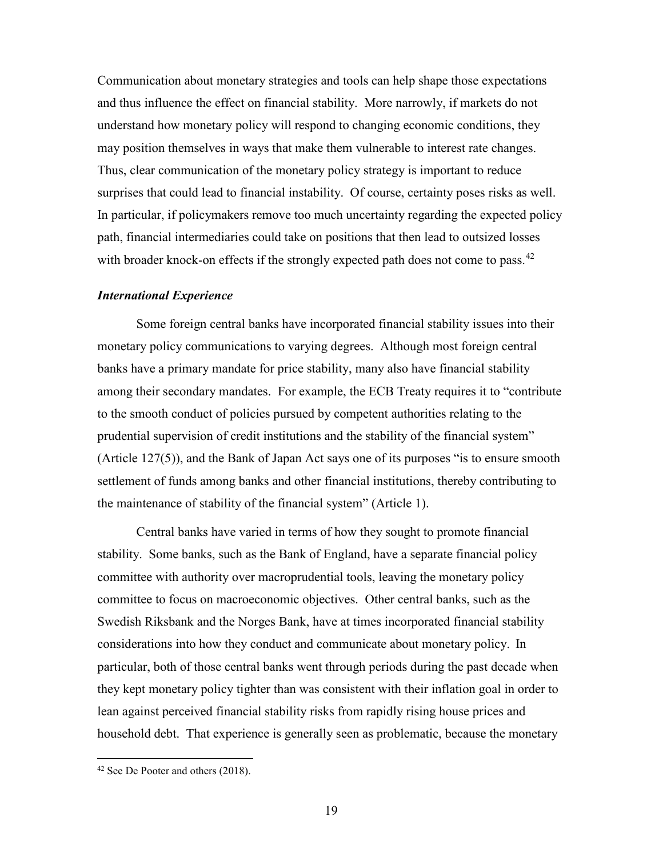Communication about monetary strategies and tools can help shape those expectations and thus influence the effect on financial stability. More narrowly, if markets do not understand how monetary policy will respond to changing economic conditions, they may position themselves in ways that make them vulnerable to interest rate changes. Thus, clear communication of the monetary policy strategy is important to reduce surprises that could lead to financial instability. Of course, certainty poses risks as well. In particular, if policymakers remove too much uncertainty regarding the expected policy path, financial intermediaries could take on positions that then lead to outsized losses with broader knock-on effects if the strongly expected path does not come to pass.  $42$ 

#### *International Experience*

Some foreign central banks have incorporated financial stability issues into their monetary policy communications to varying degrees. Although most foreign central banks have a primary mandate for price stability, many also have financial stability among their secondary mandates. For example, the ECB Treaty requires it to "contribute to the smooth conduct of policies pursued by competent authorities relating to the prudential supervision of credit institutions and the stability of the financial system" (Article 127(5)), and the Bank of Japan Act says one of its purposes "is to ensure smooth settlement of funds among banks and other financial institutions, thereby contributing to the maintenance of stability of the financial system" (Article 1).

Central banks have varied in terms of how they sought to promote financial stability. Some banks, such as the Bank of England, have a separate financial policy committee with authority over macroprudential tools, leaving the monetary policy committee to focus on macroeconomic objectives. Other central banks, such as the Swedish Riksbank and the Norges Bank, have at times incorporated financial stability considerations into how they conduct and communicate about monetary policy. In particular, both of those central banks went through periods during the past decade when they kept monetary policy tighter than was consistent with their inflation goal in order to lean against perceived financial stability risks from rapidly rising house prices and household debt. That experience is generally seen as problematic, because the monetary

<span id="page-19-0"></span> <sup>42</sup> See De Pooter and others (2018).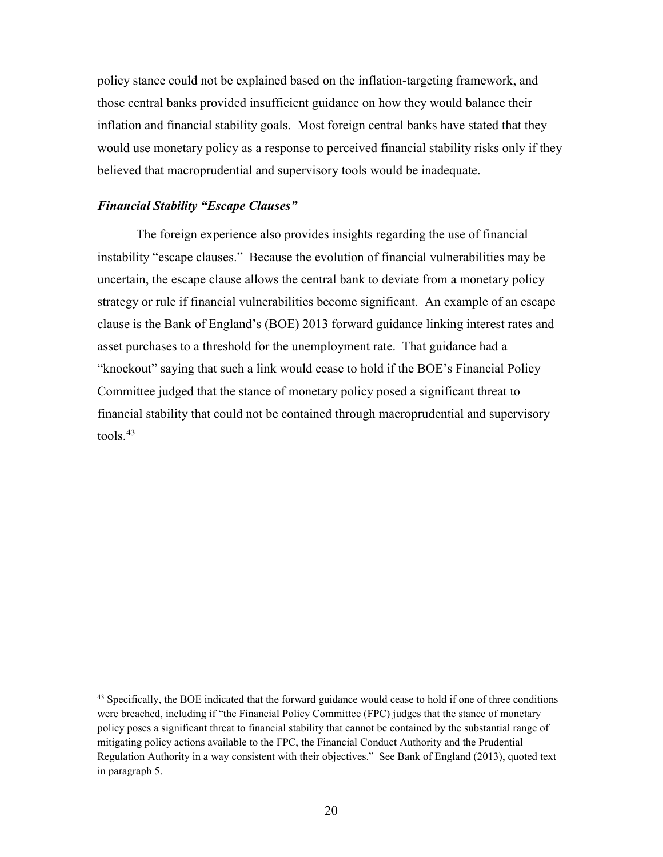policy stance could not be explained based on the inflation-targeting framework, and those central banks provided insufficient guidance on how they would balance their inflation and financial stability goals. Most foreign central banks have stated that they would use monetary policy as a response to perceived financial stability risks only if they believed that macroprudential and supervisory tools would be inadequate.

#### *Financial Stability "Escape Clauses"*

The foreign experience also provides insights regarding the use of financial instability "escape clauses." Because the evolution of financial vulnerabilities may be uncertain, the escape clause allows the central bank to deviate from a monetary policy strategy or rule if financial vulnerabilities become significant. An example of an escape clause is the Bank of England's (BOE) 2013 forward guidance linking interest rates and asset purchases to a threshold for the unemployment rate. That guidance had a "knockout" saying that such a link would cease to hold if the BOE's Financial Policy Committee judged that the stance of monetary policy posed a significant threat to financial stability that could not be contained through macroprudential and supervisory  $tools.<sup>43</sup>$  $tools.<sup>43</sup>$  $tools.<sup>43</sup>$ 

<span id="page-20-0"></span><sup>&</sup>lt;sup>43</sup> Specifically, the BOE indicated that the forward guidance would cease to hold if one of three conditions were breached, including if "the Financial Policy Committee (FPC) judges that the stance of monetary policy poses a significant threat to financial stability that cannot be contained by the substantial range of mitigating policy actions available to the FPC, the Financial Conduct Authority and the Prudential Regulation Authority in a way consistent with their objectives." See Bank of England (2013), quoted text in paragraph 5.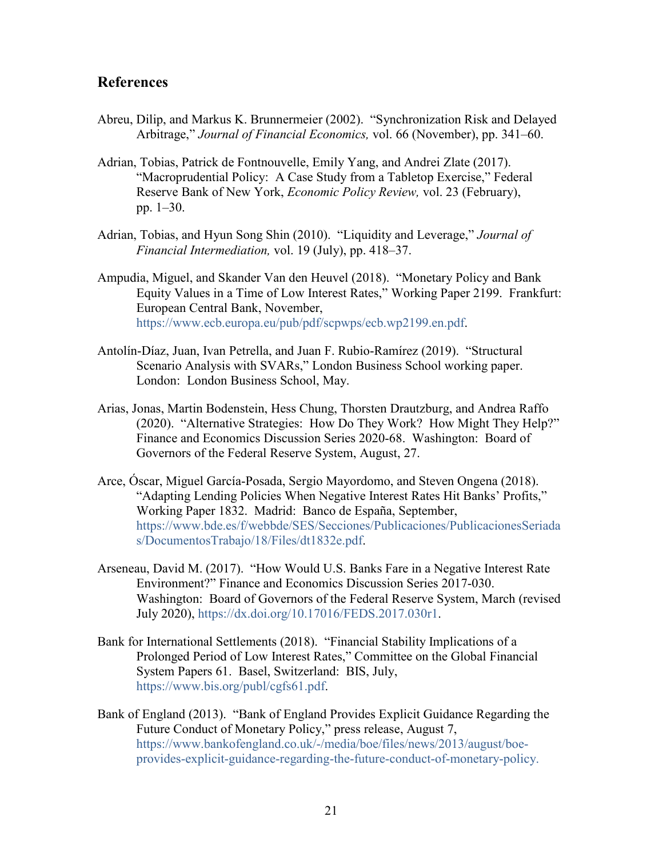# **References**

- Abreu, Dilip, and Markus K. Brunnermeier (2002). "Synchronization Risk and Delayed Arbitrage," *Journal of Financial Economics,* vol. 66 (November), pp. 341–60.
- Adrian, Tobias, Patrick de Fontnouvelle, Emily Yang, and Andrei Zlate (2017). ["Macroprudential Policy: A Case Study from a Tabletop Exercise,](https://www.newyorkfed.org/medialibrary/media/research/epr/2016/epr_2016-adrian-macroprudential-policy.pdf?la=en)" Federal Reserve Bank of New York, *Economic Policy Review,* vol. 23 (February), pp. 1–30.
- Adrian, Tobias, and Hyun Song Shin (2010). "Liquidity and Leverage," *Journal of Financial Intermediation,* vol. 19 (July), pp. 418–37.
- Ampudia, Miguel, and Skander Van den Heuvel (2018). "Monetary Policy and Bank Equity Values in a Time of Low Interest Rates," Working Paper 2199. Frankfurt: European Central Bank, November, [https://www.ecb.europa.eu/pub/pdf/scpwps/ecb.wp2199.en.pdf.](https://www.ecb.europa.eu/pub/pdf/scpwps/ecb.wp2199.en.pdf)
- Antolín-Díaz, Juan, Ivan Petrella, and Juan F. Rubio-Ramírez (2019). "Structural Scenario Analysis with SVARs," London Business School working paper. London: London Business School, May.
- Arias, Jonas, Martin Bodenstein, Hess Chung, Thorsten Drautzburg, and Andrea Raffo (2020). "Alternative Strategies: How Do They Work? How Might They Help?" Finance and Economics Discussion Series 2020-68. Washington: Board of Governors of the Federal Reserve System, August, 27.
- Arce, Óscar, Miguel García-Posada, Sergio Mayordomo, and Steven Ongena (2018). "Adapting Lending Policies When Negative Interest Rates Hit Banks' Profits," Working Paper 1832. Madrid: Banco de España, September, [https://www.bde.es/f/webbde/SES/Secciones/Publicaciones/PublicacionesSeriada](https://www.bde.es/f/webbde/SES/Secciones/Publicaciones/PublicacionesSeriadas/DocumentosTrabajo/18/Files/dt1832e.pdf) [s/DocumentosTrabajo/18/Files/dt1832e.pdf.](https://www.bde.es/f/webbde/SES/Secciones/Publicaciones/PublicacionesSeriadas/DocumentosTrabajo/18/Files/dt1832e.pdf)
- Arseneau, David M. (2017). "How Would U.S. Banks Fare in a Negative Interest Rate Environment?" Finance and Economics Discussion Series 2017-030. Washington: Board of Governors of the Federal Reserve System, March (revised July 2020), [https://dx.doi.org/10.17016/FEDS.2017.030r1.](https://dx.doi.org/10.17016/FEDS.2017.030r1)
- Bank for International Settlements (2018). "Financial Stability Implications of a Prolonged Period of Low Interest Rates," Committee on the Global Financial System Papers 61. Basel, Switzerland: BIS, July, [https://www.bis.org/publ/cgfs61.pdf.](https://www.bis.org/publ/cgfs61.pdf)
- Bank of England (2013). "Bank of England Provides Explicit Guidance Regarding the Future Conduct of Monetary Policy," press release, August 7, [https://www.bankofengland.co.uk/-/media/boe/files/news/2013/august/boe](https://www.bankofengland.co.uk/-/media/boe/files/news/2013/august/boe-provides-explicit-guidance-regarding-the-future-conduct-of-monetary-policy)[provides-explicit-guidance-regarding-the-future-conduct-of-monetary-policy.](https://www.bankofengland.co.uk/-/media/boe/files/news/2013/august/boe-provides-explicit-guidance-regarding-the-future-conduct-of-monetary-policy)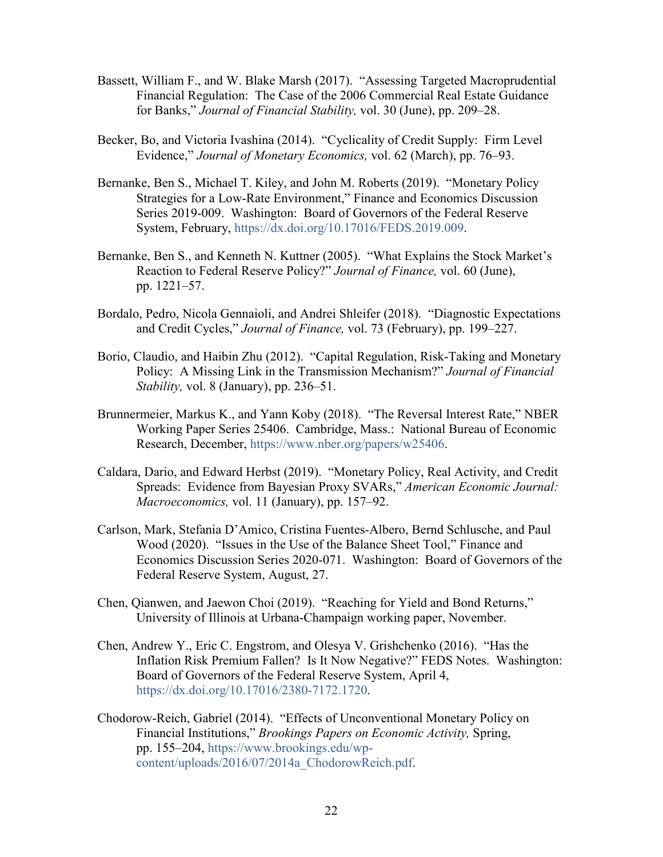- Bassett, William F., and W. Blake Marsh (2017). "Assessing Targeted Macroprudential Financial Regulation: The Case of the 2006 Commercial Real Estate Guidance for Banks," *Journal of Financial Stability,* vol. 30 (June), pp. 209–28.
- Becker, Bo, and Victoria Ivashina (2014). "Cyclicality of Credit Supply: Firm Level Evidence," *Journal of Monetary Economics,* vol. 62 (March), pp. 76–93.
- Bernanke, Ben S., Michael T. Kiley, and John M. Roberts (2019). "Monetary Policy Strategies for a Low-Rate Environment," Finance and Economics Discussion Series 2019-009. Washington: Board of Governors of the Federal Reserve System, February, [https://dx.doi.org/10.17016/FEDS.2019.009.](https://dx.doi.org/10.17016/FEDS.2019.009)
- Bernanke, Ben S., and Kenneth N. Kuttner (2005). "What Explains the Stock Market's Reaction to Federal Reserve Policy?" *Journal of Finance,* vol. 60 (June), pp. 1221–57.
- Bordalo, Pedro, Nicola Gennaioli, and Andrei Shleifer (2018). "Diagnostic Expectations and Credit Cycles," *Journal of Finance,* vol. 73 (February), pp. 199–227.
- Borio, Claudio, and Haibin Zhu (2012). "Capital Regulation, Risk-Taking and Monetary Policy: A Missing Link in the Transmission Mechanism?" *Journal of Financial Stability,* vol. 8 (January), pp. 236–51.
- Brunnermeier, Markus K., and Yann Koby (2018). "The Reversal Interest Rate," NBER Working Paper Series 25406. Cambridge, Mass.: National Bureau of Economic Research, December, [https://www.nber.org/papers/w25406.](https://www.nber.org/papers/w25406)
- Caldara, Dario, and Edward Herbst (2019). "Monetary Policy, Real Activity, and Credit Spreads: Evidence from Bayesian Proxy SVARs," *American Economic Journal: Macroeconomics,* vol. 11 (January), pp. 157–92.
- Carlson, Mark, Stefania D'Amico, Cristina Fuentes-Albero, Bernd Schlusche, and Paul Wood (2020). "Issues in the Use of the Balance Sheet Tool," Finance and Economics Discussion Series 2020-071. Washington: Board of Governors of the Federal Reserve System, August, 27.
- Chen, Qianwen, and Jaewon Choi (2019). "Reaching for Yield and Bond Returns," University of Illinois at Urbana-Champaign working paper, November.
- Chen, Andrew Y., Eric C. Engstrom, and Olesya V. Grishchenko (2016). "Has the Inflation Risk Premium Fallen? Is It Now Negative?" FEDS Notes. Washington: Board of Governors of the Federal Reserve System, April 4, [https://dx.doi.org/10.17016/2380-7172.1720.](https://dx.doi.org/10.17016/2380-7172.1720)
- Chodorow-Reich, Gabriel (2014). "Effects of Unconventional Monetary Policy on Financial Institutions," *Brookings Papers on Economic Activity,* Spring, pp. 155–204, [https://www.brookings.edu/wp](https://www.brookings.edu/wp-content/uploads/2016/07/2014a_ChodorowReich.pdf)[content/uploads/2016/07/2014a\\_ChodorowReich.pdf.](https://www.brookings.edu/wp-content/uploads/2016/07/2014a_ChodorowReich.pdf)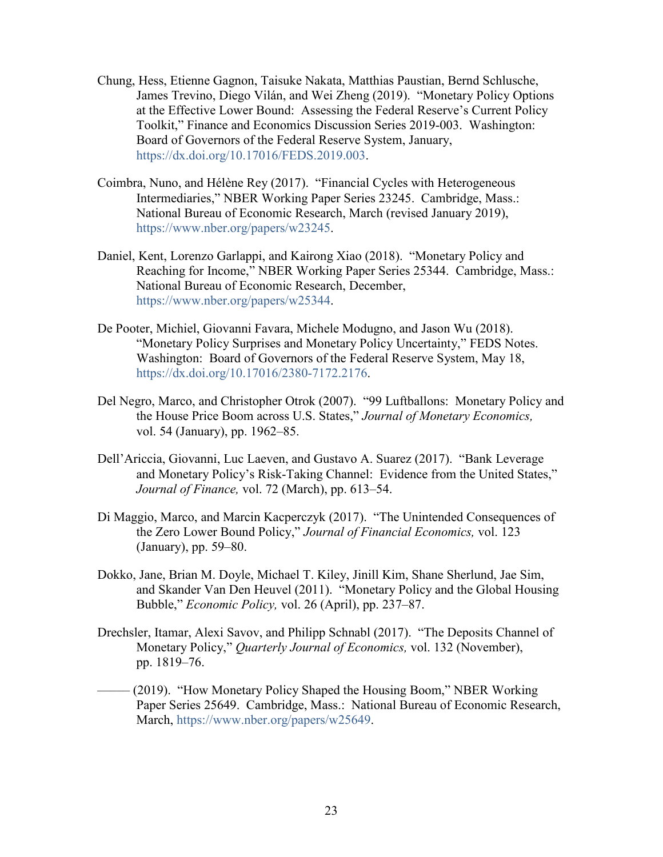- Chung, Hess, Etienne Gagnon, Taisuke Nakata, Matthias Paustian, Bernd Schlusche, James Trevino, Diego Vilán, and Wei Zheng (2019). "Monetary Policy Options at the Effective Lower Bound: Assessing the Federal Reserve's Current Policy Toolkit," Finance and Economics Discussion Series 2019-003. Washington: Board of Governors of the Federal Reserve System, January, [https://dx.doi.org/10.17016/FEDS.2019.003.](https://dx.doi.org/10.17016/FEDS.2019.003)
- Coimbra, Nuno, and Hélène Rey (2017). "Financial Cycles with Heterogeneous Intermediaries," NBER Working Paper Series 23245. Cambridge, Mass.: National Bureau of Economic Research, March (revised January 2019), [https://www.nber.org/papers/w23245.](https://www.nber.org/papers/w23245)
- Daniel, Kent, Lorenzo Garlappi, and Kairong Xiao (2018). "Monetary Policy and Reaching for Income," NBER Working Paper Series 25344. Cambridge, Mass.: National Bureau of Economic Research, December, [https://www.nber.org/papers/w25344.](https://www.nber.org/papers/w25344)
- De Pooter, Michiel, Giovanni Favara, Michele Modugno, and Jason Wu (2018). "Monetary Policy Surprises and Monetary Policy Uncertainty," FEDS Notes. Washington: Board of Governors of the Federal Reserve System, May 18, [https://dx.doi.org/10.17016/2380-7172.2176.](https://dx.doi.org/10.17016/2380-7172.2176)
- Del Negro, Marco, and Christopher Otrok (2007). "99 Luftballons: Monetary Policy and the House Price Boom across U.S. States," *Journal of Monetary Economics,* vol. 54 (January), pp. 1962–85.
- Dell'Ariccia, Giovanni, Luc Laeven, and Gustavo A. Suarez (2017). "Bank Leverage and Monetary Policy's Risk-Taking Channel: Evidence from the United States," *Journal of Finance,* vol. 72 (March), pp. 613–54.
- Di Maggio, Marco, and Marcin Kacperczyk (2017). "The Unintended Consequences of the Zero Lower Bound Policy," *Journal of Financial Economics,* vol. 123 (January), pp. 59–80.
- Dokko, Jane, Brian M. Doyle, Michael T. Kiley, Jinill Kim, Shane Sherlund, Jae Sim, and Skander Van Den Heuvel (2011). "Monetary Policy and the Global Housing Bubble," *Economic Policy,* vol. 26 (April), pp. 237–87.
- Drechsler, Itamar, Alexi Savov, and Philipp Schnabl (2017). "The Deposits Channel of Monetary Policy," *Quarterly Journal of Economics,* vol. 132 (November), pp. 1819–76.
- (2019). "How Monetary Policy Shaped the Housing Boom," NBER Working Paper Series 25649. Cambridge, Mass.: National Bureau of Economic Research, March, [https://www.nber.org/papers/w25649.](https://www.nber.org/papers/w25649)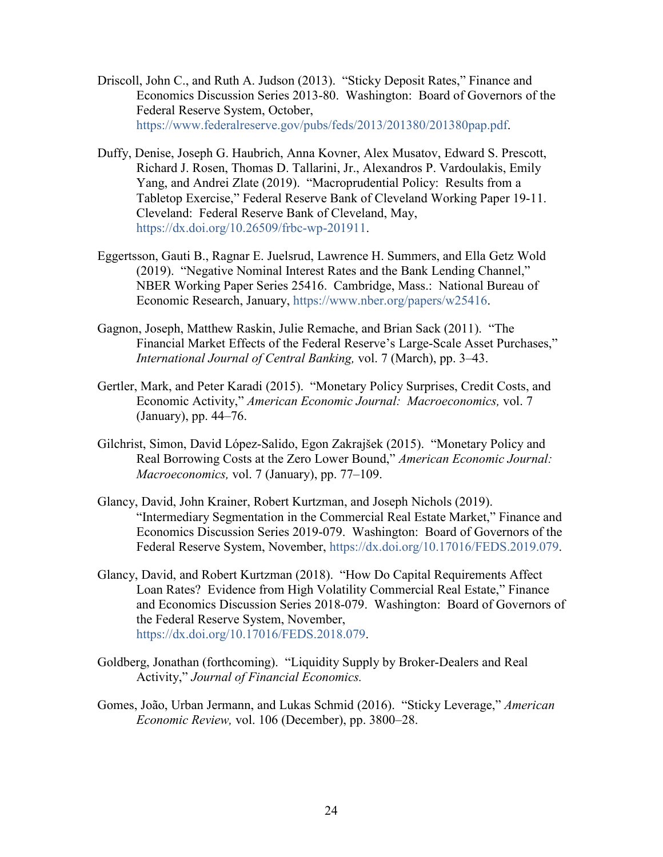- Driscoll, John C., and Ruth A. Judson (2013). "Sticky Deposit Rates," Finance and Economics Discussion Series 2013-80. Washington: Board of Governors of the Federal Reserve System, October, [https://www.federalreserve.gov/pubs/feds/2013/201380/201380pap.pdf.](https://www.federalreserve.gov/pubs/feds/2013/201380/201380pap.pdf)
- Duffy, Denise, Joseph G. Haubrich, Anna Kovner, Alex Musatov, Edward S. Prescott, Richard J. Rosen, Thomas D. Tallarini, Jr., Alexandros P. Vardoulakis, Emily Yang, and Andrei Zlate (2019). "Macroprudential Policy: Results from a Tabletop Exercise," Federal Reserve Bank of Cleveland Working Paper 19-11. Cleveland: Federal Reserve Bank of Cleveland, May, [https://dx.doi.org/10.26509/frbc-wp-201911.](https://dx.doi.org/10.26509/frbc-wp-201911)
- Eggertsson, Gauti B., Ragnar E. Juelsrud, Lawrence H. Summers, and Ella Getz Wold (2019). "Negative Nominal Interest Rates and the Bank Lending Channel," NBER Working Paper Series 25416. Cambridge, Mass.: National Bureau of Economic Research, January, [https://www.nber.org/papers/w25416.](https://www.nber.org/papers/w25416)
- Gagnon, Joseph, Matthew Raskin, Julie Remache, and Brian Sack (2011). "The Financial Market Effects of the Federal Reserve's Large-Scale Asset Purchases," *International Journal of Central Banking,* vol. 7 (March), pp. 3–43.
- Gertler, Mark, and Peter Karadi (2015). "Monetary Policy Surprises, Credit Costs, and Economic Activity," *American Economic Journal: Macroeconomics,* vol. 7 (January), pp. 44–76.
- Gilchrist, Simon, David López-Salido, Egon Zakrajšek (2015). "Monetary Policy and Real Borrowing Costs at the Zero Lower Bound," *American Economic Journal: Macroeconomics,* vol. 7 (January), pp. 77–109.
- Glancy, David, John Krainer, Robert Kurtzman, and Joseph Nichols (2019). "Intermediary Segmentation in the Commercial Real Estate Market," Finance and Economics Discussion Series 2019-079. Washington: Board of Governors of the Federal Reserve System, November, [https://dx.doi.org/10.17016/FEDS.2019.079.](https://dx.doi.org/10.17016/FEDS.2019.079)
- Glancy, David, and Robert Kurtzman (2018). "How Do Capital Requirements Affect Loan Rates? Evidence from High Volatility Commercial Real Estate," Finance and Economics Discussion Series 2018-079. Washington: Board of Governors of the Federal Reserve System, November, [https://dx.doi.org/10.17016/FEDS.2018.079.](https://dx.doi.org/10.17016/FEDS.2018.079)
- Goldberg, Jonathan (forthcoming). "Liquidity Supply by Broker-Dealers and Real Activity," *Journal of Financial Economics.*
- Gomes, João, Urban Jermann, and Lukas Schmid (2016). "Sticky Leverage," *American Economic Review,* vol. 106 (December), pp. 3800–28.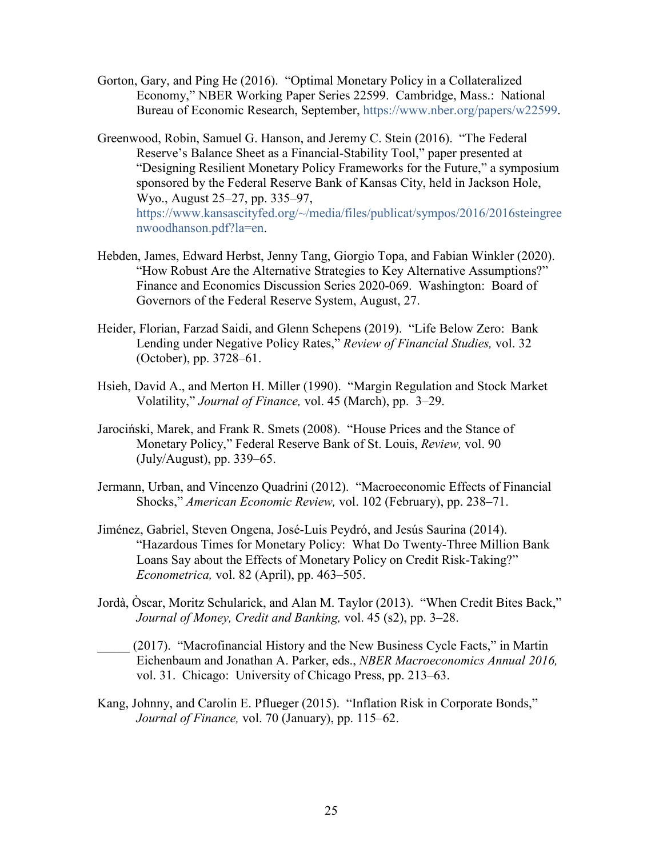- Gorton, Gary, and Ping He (2016). "Optimal Monetary Policy in a Collateralized Economy," NBER Working Paper Series 22599. Cambridge, Mass.: National Bureau of Economic Research, September, [https://www.nber.org/papers/w22599.](https://www.nber.org/papers/w22599)
- Greenwood, Robin, Samuel G. Hanson, and Jeremy C. Stein (2016). "The Federal Reserve's Balance Sheet as a Financial-Stability Tool," paper presented at "Designing Resilient Monetary Policy Frameworks for the Future," a symposium sponsored by the Federal Reserve Bank of Kansas City, held in Jackson Hole, Wyo., August 25–27, pp. 335–97, [https://www.kansascityfed.org/~/media/files/publicat/sympos/2016/2016steingree](https://www.kansascityfed.org/%7E/media/files/publicat/sympos/2016/2016steingreenwoodhanson.pdf?la=en) [nwoodhanson.pdf?la=en.](https://www.kansascityfed.org/%7E/media/files/publicat/sympos/2016/2016steingreenwoodhanson.pdf?la=en)
- Hebden, James, Edward Herbst, Jenny Tang, Giorgio Topa, and Fabian Winkler (2020). "How Robust Are the Alternative Strategies to Key Alternative Assumptions?" Finance and Economics Discussion Series 2020-069. Washington: Board of Governors of the Federal Reserve System, August, 27.
- Heider, Florian, Farzad Saidi, and Glenn Schepens (2019). "Life Below Zero: Bank Lending under Negative Policy Rates," *Review of Financial Studies,* vol. 32 (October), pp. 3728–61.
- Hsieh, David A., and Merton H. Miller (1990). "Margin Regulation and Stock Market Volatility," *Journal of Finance,* vol. 45 (March), pp. 3–29.
- Jarociński, Marek, and Frank R. Smets (2008). "House Prices and the Stance of Monetary Policy," Federal Reserve Bank of St. Louis, *Review,* vol. 90 (July/August), pp. 339–65.
- Jermann, Urban, and Vincenzo Quadrini (2012). "Macroeconomic Effects of Financial Shocks," *American Economic Review,* vol. 102 (February), pp. 238–71.
- Jiménez, Gabriel, Steven Ongena, José-Luis Peydró, and Jesús Saurina (2014). "Hazardous Times for Monetary Policy: What Do Twenty-Three Million Bank Loans Say about the Effects of Monetary Policy on Credit Risk-Taking?" *Econometrica,* vol. 82 (April), pp. 463–505.
- Jordà, Òscar, Moritz Schularick, and Alan M. Taylor (2013). "When Credit Bites Back," *Journal of Money, Credit and Banking,* vol. 45 (s2), pp. 3–28.
- (2017). "Macrofinancial History and the New Business Cycle Facts," in Martin Eichenbaum and Jonathan A. Parker, eds., *NBER Macroeconomics Annual 2016,* vol. 31. Chicago: University of Chicago Press, pp. 213–63.
- Kang, Johnny, and Carolin E. Pflueger (2015). "Inflation Risk in Corporate Bonds," *Journal of Finance,* vol. 70 (January), pp. 115–62.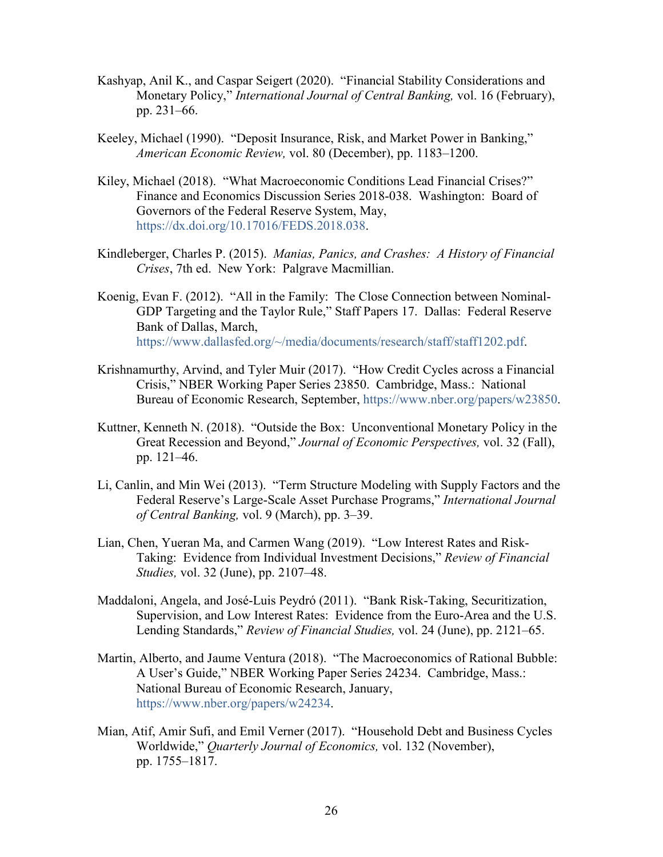- Kashyap, Anil K., and Caspar Seigert (2020). "Financial Stability Considerations and Monetary Policy," *International Journal of Central Banking,* vol. 16 (February), pp. 231–66.
- Keeley, Michael (1990). "Deposit Insurance, Risk, and Market Power in Banking," *American Economic Review,* vol. 80 (December), pp. 1183–1200.
- Kiley, Michael (2018). "What Macroeconomic Conditions Lead Financial Crises?" Finance and Economics Discussion Series 2018-038. Washington: Board of Governors of the Federal Reserve System, May, [https://dx.doi.org/10.17016/FEDS.2018.038.](https://dx.doi.org/10.17016/FEDS.2018.038)
- Kindleberger, Charles P. (2015). *Manias, Panics, and Crashes: A History of Financial Crises*, 7th ed. New York: Palgrave Macmillian.
- Koenig, Evan F. (2012). "All in the Family: The Close Connection between Nominal-GDP Targeting and the Taylor Rule," Staff Papers 17. Dallas: Federal Reserve Bank of Dallas, March, [https://www.dallasfed.org/~/media/documents/research/staff/staff1202.pdf.](https://www.dallasfed.org/%7E/media/documents/research/staff/staff1202.pdf)
- Krishnamurthy, Arvind, and Tyler Muir (2017). "How Credit Cycles across a Financial Crisis," NBER Working Paper Series 23850. Cambridge, Mass.: National Bureau of Economic Research, September, [https://www.nber.org/papers/w23850.](https://www.nber.org/papers/w23850)
- Kuttner, Kenneth N. (2018). "Outside the Box: Unconventional Monetary Policy in the Great Recession and Beyond," *Journal of Economic Perspectives,* vol. 32 (Fall), pp. 121–46.
- Li, Canlin, and Min Wei (2013). "Term Structure Modeling with Supply Factors and the Federal Reserve's Large-Scale Asset Purchase Programs," *International Journal of Central Banking,* vol. 9 (March), pp. 3–39.
- Lian, Chen, Yueran Ma, and Carmen Wang (2019). "Low Interest Rates and Risk-Taking: Evidence from Individual Investment Decisions," *Review of Financial Studies,* vol. 32 (June), pp. 2107–48.
- Maddaloni, Angela, and José-Luis Peydró (2011). "Bank Risk-Taking, Securitization, Supervision, and Low Interest Rates: Evidence from the Euro-Area and the U.S. Lending Standards," *Review of Financial Studies,* vol. 24 (June), pp. 2121–65.
- Martin, Alberto, and Jaume Ventura (2018). "The Macroeconomics of Rational Bubble: A User's Guide," NBER Working Paper Series 24234. Cambridge, Mass.: National Bureau of Economic Research, January, [https://www.nber.org/papers/w24234.](https://www.nber.org/papers/w24234)
- Mian, Atif, Amir Sufi, and Emil Verner (2017). "Household Debt and Business Cycles Worldwide," *Quarterly Journal of Economics,* vol. 132 (November), pp. 1755–1817.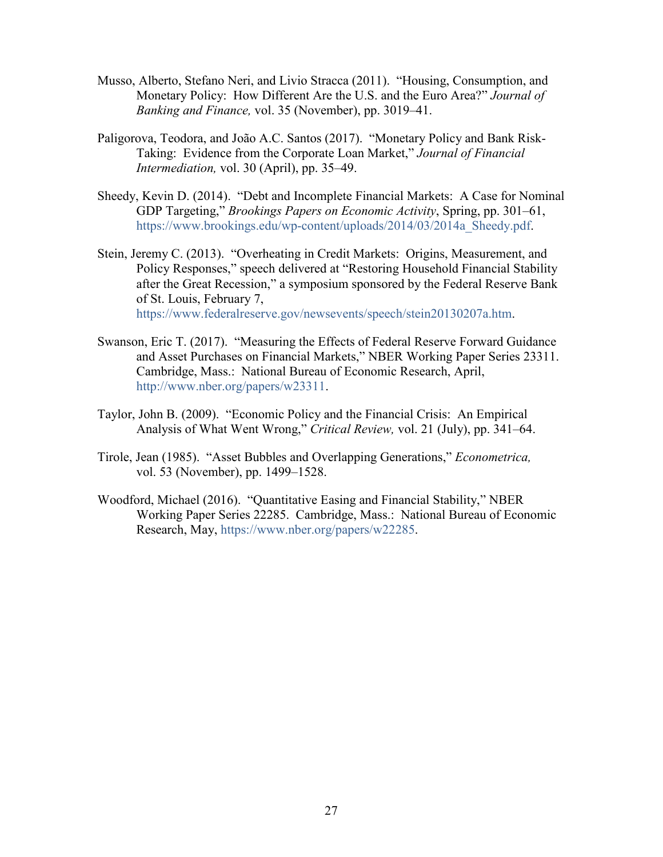- Musso, Alberto, Stefano Neri, and Livio Stracca (2011). "Housing, Consumption, and Monetary Policy: How Different Are the U.S. and the Euro Area?" *Journal of Banking and Finance,* vol. 35 (November), pp. 3019–41.
- Paligorova, Teodora, and João A.C. Santos (2017). "Monetary Policy and Bank Risk-Taking: Evidence from the Corporate Loan Market," *Journal of Financial Intermediation,* vol. 30 (April), pp. 35–49.
- Sheedy, Kevin D. (2014). "Debt and Incomplete Financial Markets: A Case for Nominal GDP Targeting," *Brookings Papers on Economic Activity*, Spring, pp. 301–61, [https://www.brookings.edu/wp-content/uploads/2014/03/2014a\\_Sheedy.pdf.](https://www.brookings.edu/wp-content/uploads/2014/03/2014a_Sheedy.pdf)
- Stein, Jeremy C. (2013). "Overheating in Credit Markets: Origins, Measurement, and Policy Responses," speech delivered at "Restoring Household Financial Stability after the Great Recession," a symposium sponsored by the Federal Reserve Bank of St. Louis, February 7,

[https://www.federalreserve.gov/newsevents/speech/stein20130207a.htm.](https://www.federalreserve.gov/newsevents/speech/stein20130207a.htm)

- Swanson, Eric T. (2017). "Measuring the Effects of Federal Reserve Forward Guidance and Asset Purchases on Financial Markets," NBER Working Paper Series 23311. Cambridge, Mass.: National Bureau of Economic Research, April, [http://www.nber.org/papers/w23311.](http://www.nber.org/papers/w23311)
- Taylor, John B. (2009). "Economic Policy and the Financial Crisis: An Empirical Analysis of What Went Wrong," *Critical Review,* vol. 21 (July), pp. 341–64.
- Tirole, Jean (1985). "Asset Bubbles and Overlapping Generations," *Econometrica,* vol. 53 (November), pp. 1499–1528.
- Woodford, Michael (2016). "Quantitative Easing and Financial Stability," NBER Working Paper Series 22285. Cambridge, Mass.: National Bureau of Economic Research, May, [https://www.nber.org/papers/w22285.](https://www.nber.org/papers/w22285)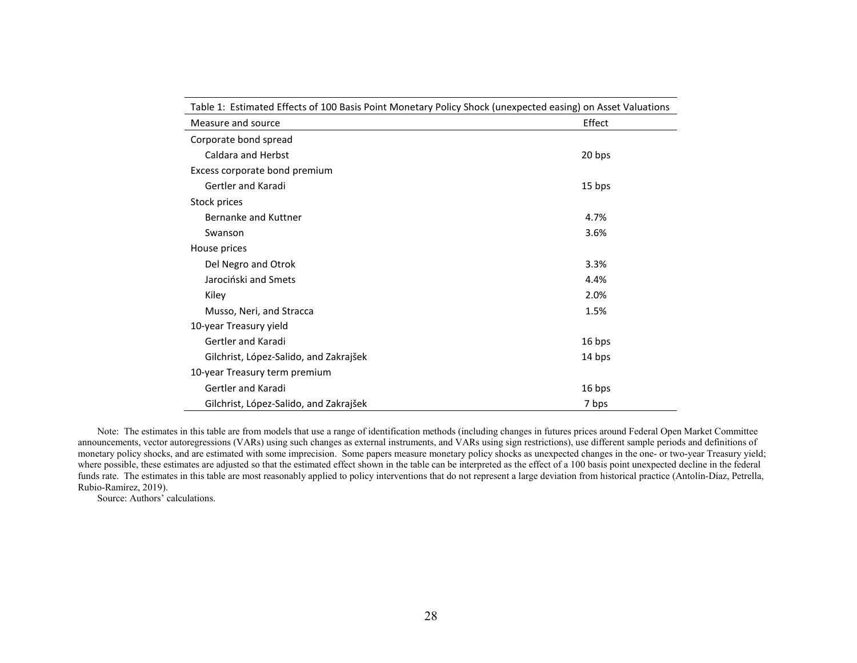| Table 1: Estimated Effects of 100 Basis Point Monetary Policy Shock (unexpected easing) on Asset Valuations |        |  |
|-------------------------------------------------------------------------------------------------------------|--------|--|
| Measure and source                                                                                          | Effect |  |
| Corporate bond spread                                                                                       |        |  |
| <b>Caldara and Herbst</b>                                                                                   | 20 bps |  |
| Excess corporate bond premium                                                                               |        |  |
| Gertler and Karadi                                                                                          | 15 bps |  |
| Stock prices                                                                                                |        |  |
| Bernanke and Kuttner                                                                                        | 4.7%   |  |
| Swanson                                                                                                     | 3.6%   |  |
| House prices                                                                                                |        |  |
| Del Negro and Otrok                                                                                         | 3.3%   |  |
| Jarociński and Smets                                                                                        | 4.4%   |  |
| Kiley                                                                                                       | 2.0%   |  |
| Musso, Neri, and Stracca                                                                                    | 1.5%   |  |
| 10-year Treasury yield                                                                                      |        |  |
| Gertler and Karadi                                                                                          | 16 bps |  |
| Gilchrist, López-Salido, and Zakrajšek                                                                      | 14 bps |  |
| 10-year Treasury term premium                                                                               |        |  |
| Gertler and Karadi                                                                                          | 16 bps |  |
| Gilchrist, López-Salido, and Zakrajšek                                                                      | 7 bps  |  |

Note: The estimates in this table are from models that use a range of identification methods (including changes in futures prices around Federal Open Market Committee announcements, vector autoregressions (VARs) using such changes as external instruments, and VARs using sign restrictions), use different sample periods and definitions of monetary policy shocks, and are estimated with some imprecision. Some papers measure monetary policy shocks as unexpected changes in the one- or two-year Treasury yield; where possible, these estimates are adjusted so that the estimated effect shown in the table can be interpreted as the effect of a 100 basis point unexpected decline in the federal vehicles are adjusted so that the estimat funds rate. The estimates in this table are most reasonably applied to policy interventions that do not represent a large deviation from historical practice (Antolín-Díaz, Petrella, Rubio-Ramírez, 2019).

Source: Authors' calculations.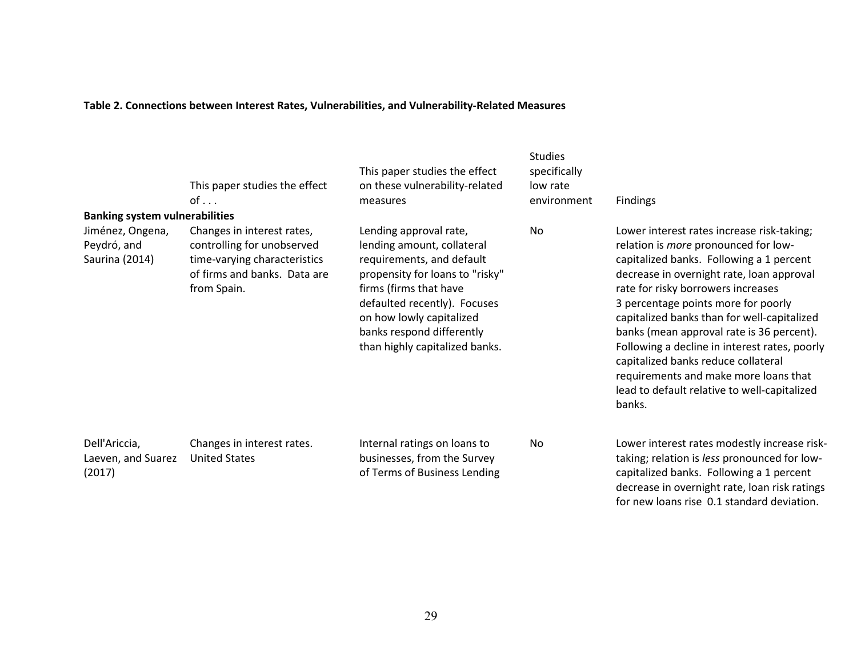# **Table 2. Connections between Interest Rates, Vulnerabilities, and Vulnerability-Related Measures**

|                                                                                            | This paper studies the effect<br>$of \ldots$                                                                                            | This paper studies the effect<br>on these vulnerability-related<br>measures                                                                                                                                                                                               | <b>Studies</b><br>specifically<br>low rate<br>environment | <b>Findings</b>                                                                                                                                                                                                                                                                                                                                                                                                                                                                                                                                        |
|--------------------------------------------------------------------------------------------|-----------------------------------------------------------------------------------------------------------------------------------------|---------------------------------------------------------------------------------------------------------------------------------------------------------------------------------------------------------------------------------------------------------------------------|-----------------------------------------------------------|--------------------------------------------------------------------------------------------------------------------------------------------------------------------------------------------------------------------------------------------------------------------------------------------------------------------------------------------------------------------------------------------------------------------------------------------------------------------------------------------------------------------------------------------------------|
| <b>Banking system vulnerabilities</b><br>Jiménez, Ongena,<br>Peydró, and<br>Saurina (2014) | Changes in interest rates,<br>controlling for unobserved<br>time-varying characteristics<br>of firms and banks. Data are<br>from Spain. | Lending approval rate,<br>lending amount, collateral<br>requirements, and default<br>propensity for loans to "risky"<br>firms (firms that have<br>defaulted recently). Focuses<br>on how lowly capitalized<br>banks respond differently<br>than highly capitalized banks. | <b>No</b>                                                 | Lower interest rates increase risk-taking;<br>relation is <i>more</i> pronounced for low-<br>capitalized banks. Following a 1 percent<br>decrease in overnight rate, loan approval<br>rate for risky borrowers increases<br>3 percentage points more for poorly<br>capitalized banks than for well-capitalized<br>banks (mean approval rate is 36 percent).<br>Following a decline in interest rates, poorly<br>capitalized banks reduce collateral<br>requirements and make more loans that<br>lead to default relative to well-capitalized<br>banks. |
| Dell'Ariccia,<br>Laeven, and Suarez<br>(2017)                                              | Changes in interest rates.<br><b>United States</b>                                                                                      | Internal ratings on loans to<br>businesses, from the Survey<br>of Terms of Business Lending                                                                                                                                                                               | No                                                        | Lower interest rates modestly increase risk-<br>taking; relation is less pronounced for low-<br>capitalized banks. Following a 1 percent<br>decrease in overnight rate, loan risk ratings<br>for new loans rise 0.1 standard deviation.                                                                                                                                                                                                                                                                                                                |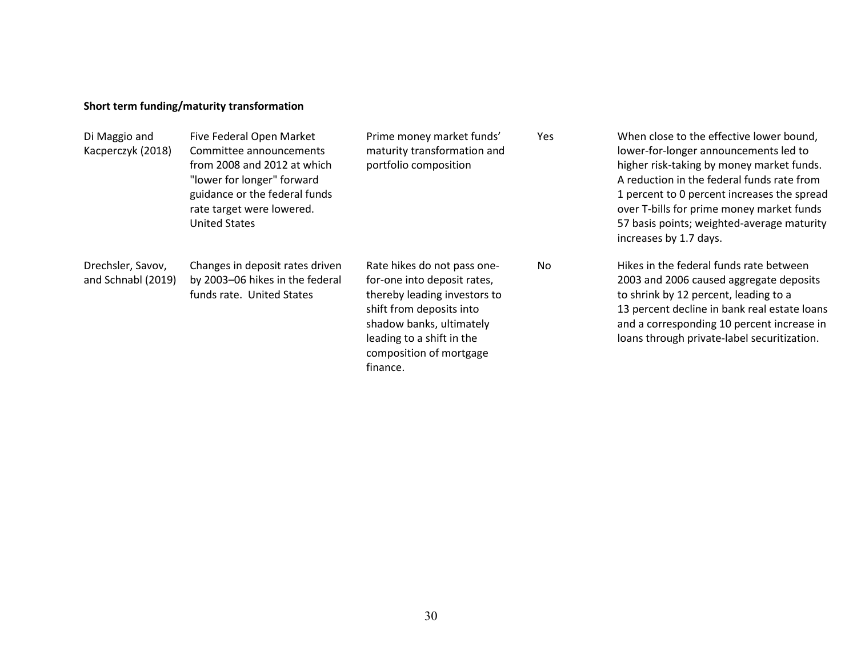# **Short term funding/maturity transformation**

| Di Maggio and<br>Kacperczyk (2018)      | Five Federal Open Market<br>Committee announcements<br>from 2008 and 2012 at which<br>"lower for longer" forward<br>guidance or the federal funds<br>rate target were lowered.<br><b>United States</b> | Prime money market funds'<br>maturity transformation and<br>portfolio composition                                                                                                                                      | Yes | When close to the effective lower bound,<br>lower-for-longer announcements led to<br>higher risk-taking by money market funds.<br>A reduction in the federal funds rate from<br>1 percent to 0 percent increases the spread<br>over T-bills for prime money market funds<br>57 basis points; weighted-average maturity<br>increases by 1.7 days. |
|-----------------------------------------|--------------------------------------------------------------------------------------------------------------------------------------------------------------------------------------------------------|------------------------------------------------------------------------------------------------------------------------------------------------------------------------------------------------------------------------|-----|--------------------------------------------------------------------------------------------------------------------------------------------------------------------------------------------------------------------------------------------------------------------------------------------------------------------------------------------------|
| Drechsler, Savov,<br>and Schnabl (2019) | Changes in deposit rates driven<br>by 2003-06 hikes in the federal<br>funds rate. United States                                                                                                        | Rate hikes do not pass one-<br>for-one into deposit rates,<br>thereby leading investors to<br>shift from deposits into<br>shadow banks, ultimately<br>leading to a shift in the<br>composition of mortgage<br>finance. | No  | Hikes in the federal funds rate between<br>2003 and 2006 caused aggregate deposits<br>to shrink by 12 percent, leading to a<br>13 percent decline in bank real estate loans<br>and a corresponding 10 percent increase in<br>loans through private-label securitization.                                                                         |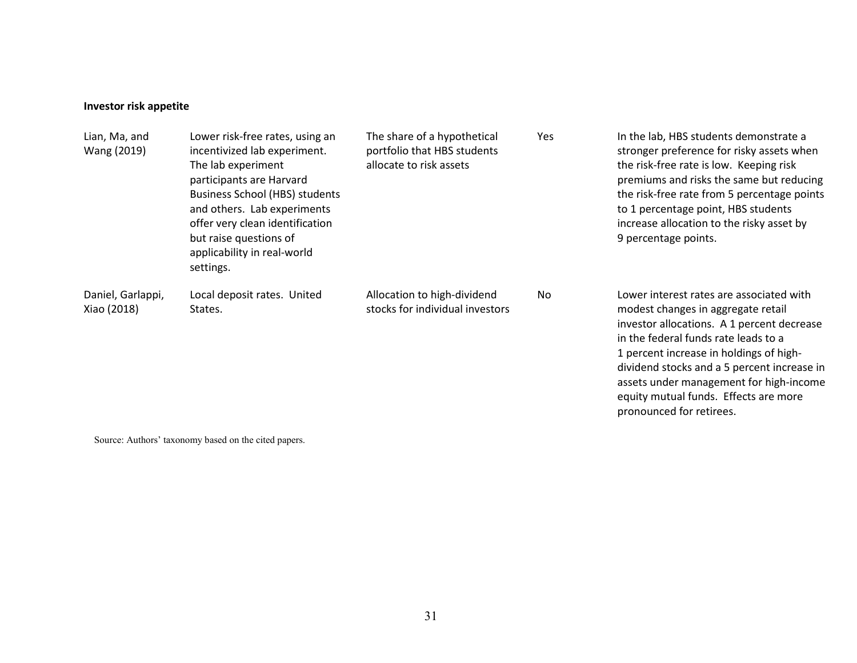# **Investor risk appetite**

| Lian, Ma, and<br>Wang (2019)     | Lower risk-free rates, using an<br>incentivized lab experiment.<br>The lab experiment<br>participants are Harvard<br><b>Business School (HBS) students</b><br>and others. Lab experiments<br>offer very clean identification<br>but raise questions of<br>applicability in real-world<br>settings. | The share of a hypothetical<br>portfolio that HBS students<br>allocate to risk assets | Yes | In the lab, HBS students demonstrate a<br>stronger preference for risky assets when<br>the risk-free rate is low. Keeping risk<br>premiums and risks the same but reducing<br>the risk-free rate from 5 percentage points<br>to 1 percentage point, HBS students<br>increase allocation to the risky asset by<br>9 percentage points. |
|----------------------------------|----------------------------------------------------------------------------------------------------------------------------------------------------------------------------------------------------------------------------------------------------------------------------------------------------|---------------------------------------------------------------------------------------|-----|---------------------------------------------------------------------------------------------------------------------------------------------------------------------------------------------------------------------------------------------------------------------------------------------------------------------------------------|
| Daniel, Garlappi,<br>Xiao (2018) | Local deposit rates. United<br>States.                                                                                                                                                                                                                                                             | Allocation to high-dividend<br>stocks for individual investors                        | No  | Lower interest rates are associated with<br>modest changes in aggregate retail<br>investor allocations. A 1 percent decrease<br>in the federal funds rate leads to a<br>1 percent increase in holdings of high-<br>dividend stocks and a 5 percent increase in<br>assets under management for high-income                             |

equity mutual funds. Effects are more

pronounced for retirees.

Source: Authors' taxonomy based on the cited papers.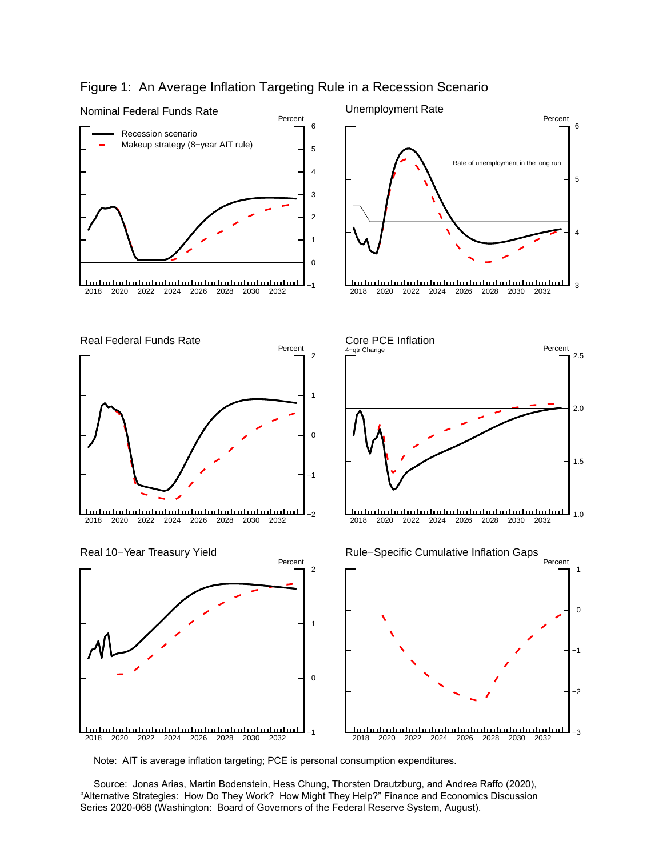

# Figure 1: An Average Inflation Targeting Rule in a Recession Scenario

Note: AIT is average inflation targeting; PCE is personal consumption expenditures.

 Source: Jonas Arias, Martin Bodenstein, Hess Chung, Thorsten Drautzburg, and Andrea Raffo (2020), "Alternative Strategies: How Do They Work? How Might They Help?" Finance and Economics Discussion Series 2020-068 (Washington: Board of Governors of the Federal Reserve System, August).